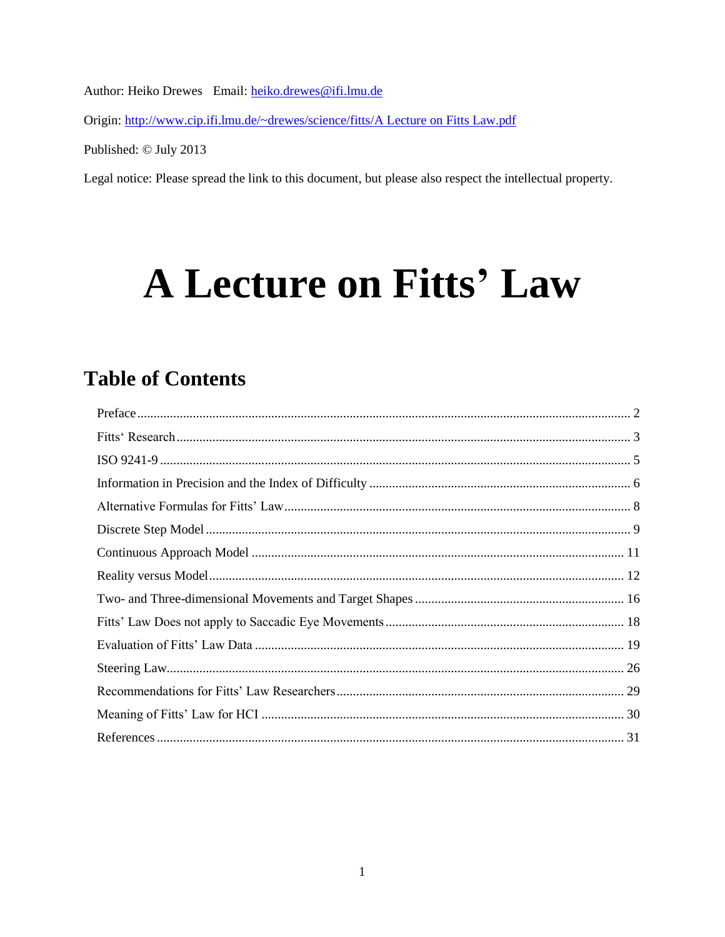Author: Heiko Drewes Email: heiko.drewes@ifi.lmu.de

Origin: http://www.cip.ifi.lmu.de/~drewes/science/fitts/A Lecture on Fitts Law.pdf

Published: © July 2013

Legal notice: Please spread the link to this document, but please also respect the intellectual property.

# **A Lecture on Fitts' Law**

# **Table of Contents**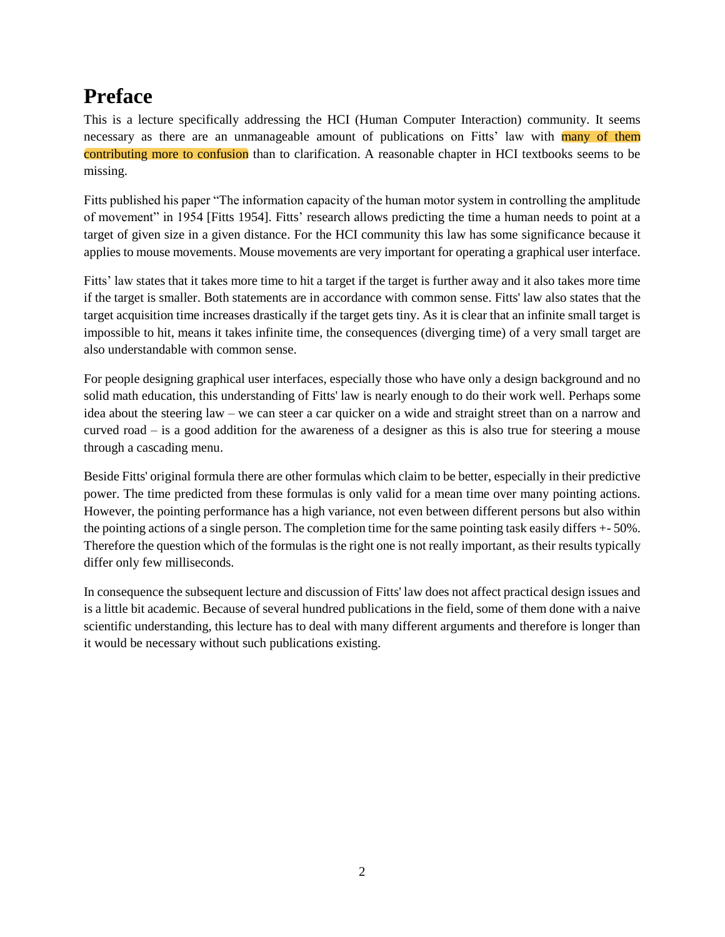# <span id="page-1-0"></span>**Preface**

This is a lecture specifically addressing the HCI (Human Computer Interaction) community. It seems necessary as there are an unmanageable amount of publications on Fitts' law with many of them contributing more to confusion than to clarification. A reasonable chapter in HCI textbooks seems to be missing.

Fitts published his paper "The information capacity of the human motor system in controlling the amplitude of movement" in 1954 [\[Fitts 1954\]](#page-30-1). Fitts' research allows predicting the time a human needs to point at a target of given size in a given distance. For the HCI community this law has some significance because it applies to mouse movements. Mouse movements are very important for operating a graphical user interface.

Fitts' law states that it takes more time to hit a target if the target is further away and it also takes more time if the target is smaller. Both statements are in accordance with common sense. Fitts' law also states that the target acquisition time increases drastically if the target gets tiny. As it is clear that an infinite small target is impossible to hit, means it takes infinite time, the consequences (diverging time) of a very small target are also understandable with common sense.

For people designing graphical user interfaces, especially those who have only a design background and no solid math education, this understanding of Fitts' law is nearly enough to do their work well. Perhaps some idea about the steering law – we can steer a car quicker on a wide and straight street than on a narrow and curved road – is a good addition for the awareness of a designer as this is also true for steering a mouse through a cascading menu.

Beside Fitts' original formula there are other formulas which claim to be better, especially in their predictive power. The time predicted from these formulas is only valid for a mean time over many pointing actions. However, the pointing performance has a high variance, not even between different persons but also within the pointing actions of a single person. The completion time for the same pointing task easily differs +- 50%. Therefore the question which of the formulas is the right one is not really important, as their results typically differ only few milliseconds.

In consequence the subsequent lecture and discussion of Fitts' law does not affect practical design issues and is a little bit academic. Because of several hundred publications in the field, some of them done with a naive scientific understanding, this lecture has to deal with many different arguments and therefore is longer than it would be necessary without such publications existing.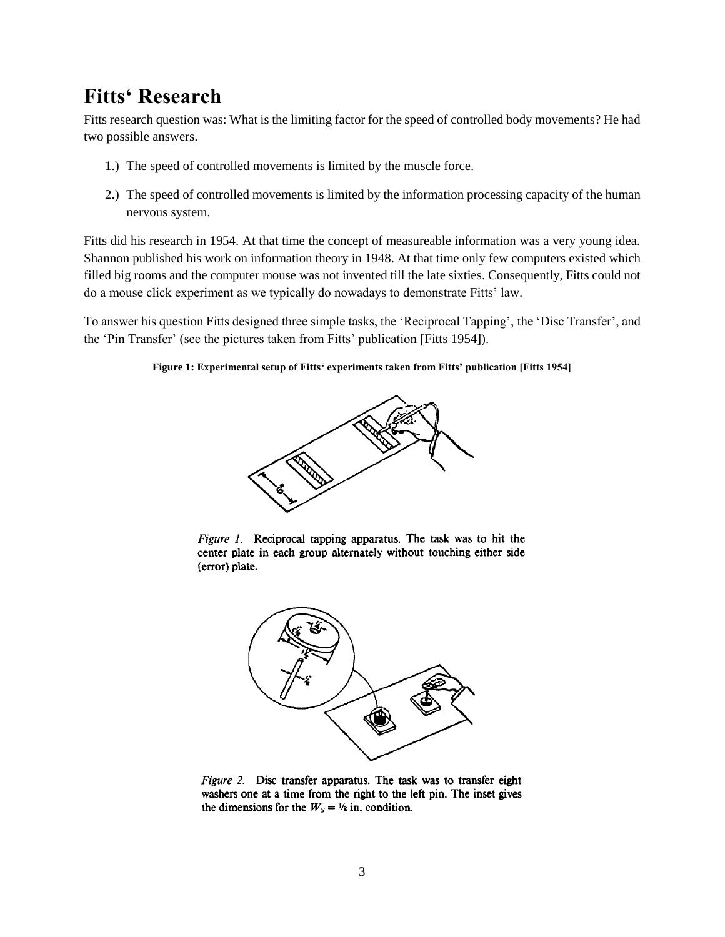# <span id="page-2-0"></span>**Fitts' Research**

Fitts research question was: What is the limiting factor for the speed of controlled body movements? He had two possible answers.

- 1.) The speed of controlled movements is limited by the muscle force.
- 2.) The speed of controlled movements is limited by the information processing capacity of the human nervous system.

Fitts did his research in 1954. At that time the concept of measureable information was a very young idea. Shannon published his work on information theory in 1948. At that time only few computers existed which filled big rooms and the computer mouse was not invented till the late sixties. Consequently, Fitts could not do a mouse click experiment as we typically do nowadays to demonstrate Fitts' law.

To answer his question Fitts designed three simple tasks, the 'Reciprocal Tapping', the 'Disc Transfer', and the 'Pin Transfer' (see the pictures taken from Fitts' publication [Fitts 1954]).

#### **Figure 1: Experimental setup of Fitts' experiments taken from Fitts' publication [Fitts 1954]**







Figure 2. Disc transfer apparatus. The task was to transfer eight washers one at a time from the right to the left pin. The inset gives the dimensions for the  $W_s = \frac{1}{8}$  in. condition.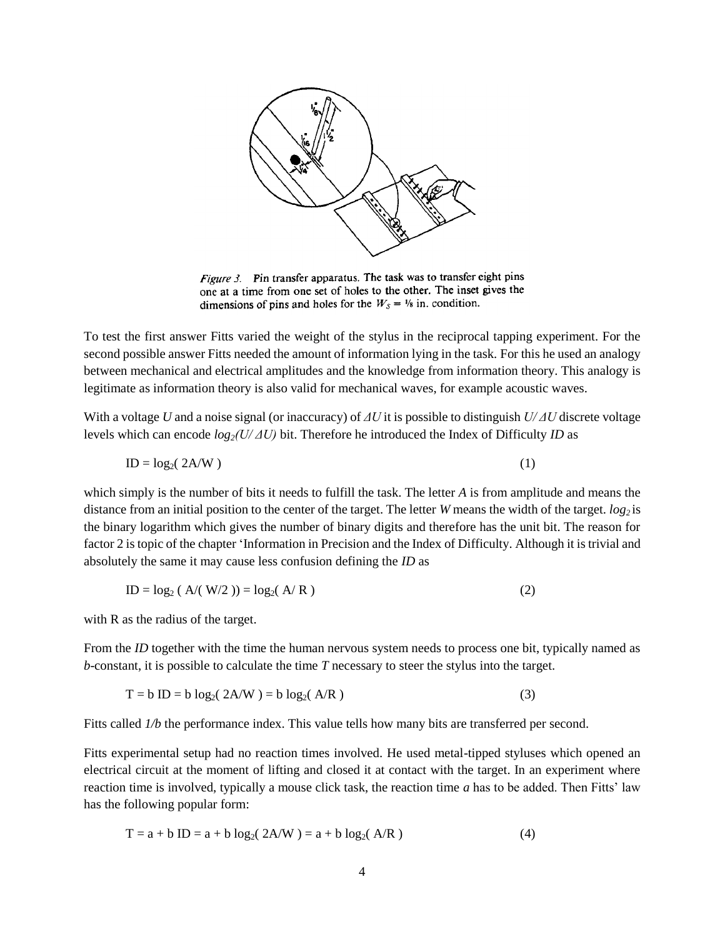

Figure 3. Pin transfer apparatus. The task was to transfer eight pins one at a time from one set of holes to the other. The inset gives the dimensions of pins and holes for the  $W_s = \frac{1}{8}$  in. condition.

To test the first answer Fitts varied the weight of the stylus in the reciprocal tapping experiment. For the second possible answer Fitts needed the amount of information lying in the task. For this he used an analogy between mechanical and electrical amplitudes and the knowledge from information theory. This analogy is legitimate as information theory is also valid for mechanical waves, for example acoustic waves.

With a voltage *U* and a noise signal (or inaccuracy) of *ΔU* it is possible to distinguish *U/ ΔU* discrete voltage levels which can encode *log2(U/ ΔU)* bit. Therefore he introduced the Index of Difficulty *ID* as

$$
ID = log_2(2A/W)
$$
 (1)

which simply is the number of bits it needs to fulfill the task. The letter *A* is from amplitude and means the distance from an initial position to the center of the target. The letter *W* means the width of the target. *log<sup>2</sup>* is the binary logarithm which gives the number of binary digits and therefore has the unit bit. The reason for factor 2 is topic of the chapter ['Information in Precision and the Index of Difficulty.](#page-5-0) Although it is trivial and absolutely the same it may cause less confusion defining the *ID* as

$$
ID = log_2 ( A/(W/2) ) = log_2(A/R)
$$
 (2)

with R as the radius of the target.

From the *ID* together with the time the human nervous system needs to process one bit, typically named as *b*-constant, it is possible to calculate the time *T* necessary to steer the stylus into the target.

$$
T = b ID = b log2(2A/W) = b log2(A/R)
$$
 (3)

Fitts called  $1/b$  the performance index. This value tells how many bits are transferred per second.

Fitts experimental setup had no reaction times involved. He used metal-tipped styluses which opened an electrical circuit at the moment of lifting and closed it at contact with the target. In an experiment where reaction time is involved, typically a mouse click task, the reaction time *a* has to be added. Then Fitts' law has the following popular form:

$$
T = a + b ID = a + b log2( 2A/W ) = a + b log2( A/R )
$$
 (4)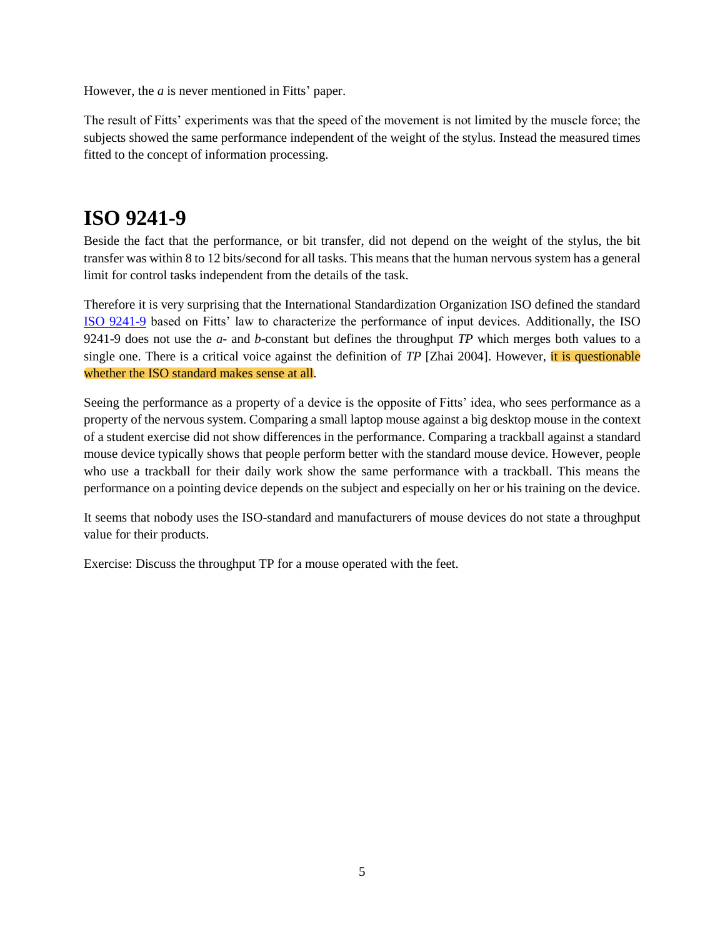However, the *a* is never mentioned in Fitts' paper.

The result of Fitts' experiments was that the speed of the movement is not limited by the muscle force; the subjects showed the same performance independent of the weight of the stylus. Instead the measured times fitted to the concept of information processing.

# <span id="page-4-0"></span>**ISO 9241-9**

Beside the fact that the performance, or bit transfer, did not depend on the weight of the stylus, the bit transfer was within 8 to 12 bits/second for all tasks. This means that the human nervous system has a general limit for control tasks independent from the details of the task.

Therefore it is very surprising that the International Standardization Organization ISO defined the standard [ISO 9241-9](http://www.iso.org/iso/iso_catalogue/catalogue_tc/catalogue_detail.htm?csnumber=30030) based on Fitts' law to characterize the performance of input devices. Additionally, the ISO 9241-9 does not use the *a*- and *b*-constant but defines the throughput *TP* which merges both values to a single one. There is a critical voice against the definition of *TP* [\[Zhai 2004\]](#page-30-2). However, it is questionable whether the ISO standard makes sense at all.

Seeing the performance as a property of a device is the opposite of Fitts' idea, who sees performance as a property of the nervous system. Comparing a small laptop mouse against a big desktop mouse in the context of a student exercise did not show differences in the performance. Comparing a trackball against a standard mouse device typically shows that people perform better with the standard mouse device. However, people who use a trackball for their daily work show the same performance with a trackball. This means the performance on a pointing device depends on the subject and especially on her or his training on the device.

It seems that nobody uses the ISO-standard and manufacturers of mouse devices do not state a throughput value for their products.

Exercise: Discuss the throughput TP for a mouse operated with the feet.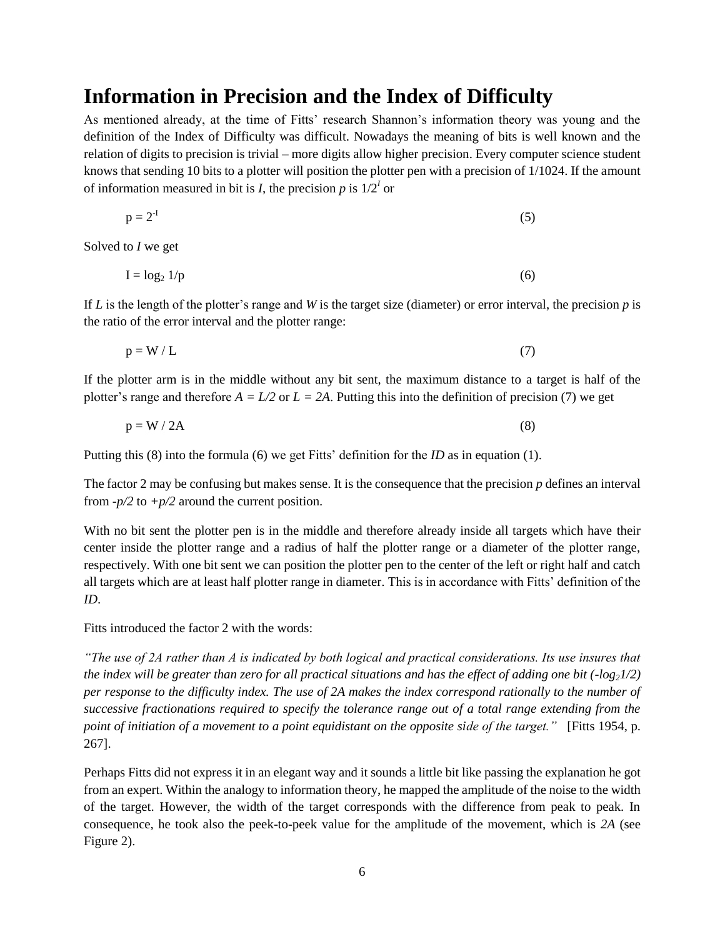### <span id="page-5-0"></span>**Information in Precision and the Index of Difficulty**

As mentioned already, at the time of Fitts' research Shannon's information theory was young and the definition of the Index of Difficulty was difficult. Nowadays the meaning of bits is well known and the relation of digits to precision is trivial – more digits allow higher precision. Every computer science student knows that sending 10 bits to a plotter will position the plotter pen with a precision of 1/1024. If the amount of information measured in bit is *I*, the precision  $p$  is  $1/2<sup>I</sup>$  or

$$
p = 2T
$$
 (5)

Solved to *I* we get

$$
I = \log_2 1/p \tag{6}
$$

If *L* is the length of the plotter's range and *W* is the target size (diameter) or error interval, the precision *p* is the ratio of the error interval and the plotter range:

$$
p = W / L \tag{7}
$$

If the plotter arm is in the middle without any bit sent, the maximum distance to a target is half of the plotter's range and therefore  $A = L/2$  or  $L = 2A$ . Putting this into the definition of precision (7) we get

 $p = W / 2A$  (8)

Putting this (8) into the formula (6) we get Fitts' definition for the *ID* as in equation (1).

The factor 2 may be confusing but makes sense. It is the consequence that the precision *p* defines an interval from  $-p/2$  to  $+p/2$  around the current position.

With no bit sent the plotter pen is in the middle and therefore already inside all targets which have their center inside the plotter range and a radius of half the plotter range or a diameter of the plotter range, respectively. With one bit sent we can position the plotter pen to the center of the left or right half and catch all targets which are at least half plotter range in diameter. This is in accordance with Fitts' definition of the *ID*.

Fitts introduced the factor 2 with the words:

*"The use of 2A rather than A is indicated by both logical and practical considerations. Its use insures that the index will be greater than zero for all practical situations and has the effect of adding one bit (-log21/2) per response to the difficulty index. The use of 2A makes the index correspond rationally to the number of successive fractionations required to specify the tolerance range out of a total range extending from the point of initiation of a movement to a point equidistant on the opposite side of the target."* [\[Fitts 1954,](#page-30-1) p. 267].

Perhaps Fitts did not express it in an elegant way and it sounds a little bit like passing the explanation he got from an expert. Within the analogy to information theory, he mapped the amplitude of the noise to the width of the target. However, the width of the target corresponds with the difference from peak to peak. In consequence, he took also the peek-to-peek value for the amplitude of the movement, which is *2A* (see [Figure 2\)](#page-6-0).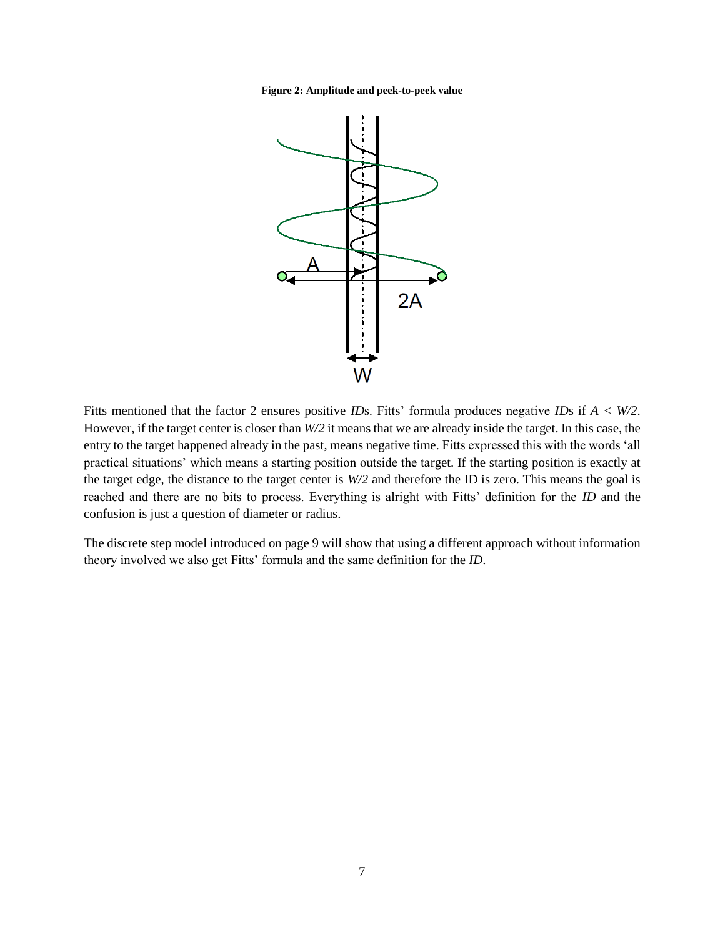<span id="page-6-0"></span>**Figure 2: Amplitude and peek-to-peek value**

![](_page_6_Figure_1.jpeg)

Fitts mentioned that the factor 2 ensures positive *ID*s. Fitts' formula produces negative *ID*s if *A < W/2*. However, if the target center is closer than *W/2* it means that we are already inside the target. In this case, the entry to the target happened already in the past, means negative time. Fitts expressed this with the words 'all practical situations' which means a starting position outside the target. If the starting position is exactly at the target edge, the distance to the target center is *W/2* and therefore the ID is zero. This means the goal is reached and there are no bits to process. Everything is alright with Fitts' definition for the *ID* and the confusion is just a question of diameter or radius.

The discrete step model introduced on page [9](#page-8-0) will show that using a different approach without information theory involved we also get Fitts' formula and the same definition for the *ID*.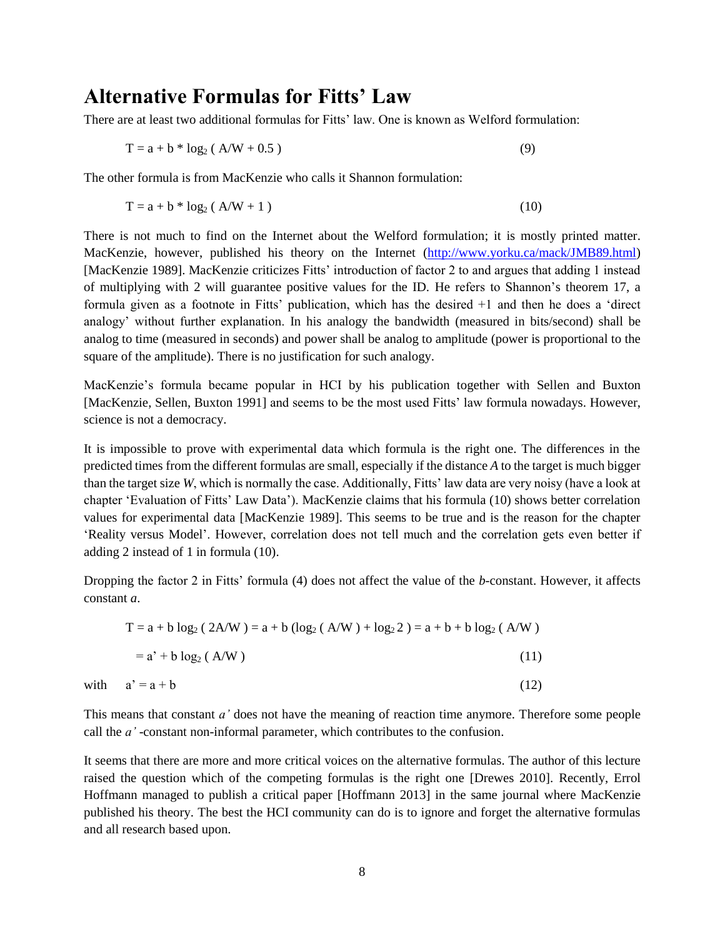### <span id="page-7-0"></span>**Alternative Formulas for Fitts' Law**

There are at least two additional formulas for Fitts' law. One is known as Welford formulation:

$$
T = a + b * log_2 (A/W + 0.5)
$$
 (9)

The other formula is from MacKenzie who calls it Shannon formulation:

$$
T = a + b * log_2 (A/W + 1)
$$
 (10)

There is not much to find on the Internet about the Welford formulation; it is mostly printed matter. MacKenzie, however, published his theory on the Internet [\(http://www.yorku.ca/mack/JMB89.html\)](http://www.yorku.ca/mack/JMB89.html) [\[MacKenzie 1989\]](#page-30-3). MacKenzie criticizes Fitts' introduction of factor 2 to and argues that adding 1 instead of multiplying with 2 will guarantee positive values for the ID. He refers to Shannon's theorem 17, a formula given as a footnote in Fitts' publication, which has the desired +1 and then he does a 'direct analogy' without further explanation. In his analogy the bandwidth (measured in bits/second) shall be analog to time (measured in seconds) and power shall be analog to amplitude (power is proportional to the square of the amplitude). There is no justification for such analogy.

MacKenzie's formula became popular in HCI by his publication together with Sellen and Buxton [\[MacKenzie, Sellen, Buxton 1991\]](#page-30-4) and seems to be the most used Fitts' law formula nowadays. However, science is not a democracy.

It is impossible to prove with experimental data which formula is the right one. The differences in the predicted times from the different formulas are small, especially if the distance *A* to the target is much bigger than the target size *W*, which is normally the case. Additionally, Fitts' law data are very noisy (have a look at chapter ['Evaluation of Fitts' Law Data'](#page-18-0)). MacKenzie claims that his formula (10) shows better correlation values for experimental data [\[MacKenzie 1989\]](#page-30-3). This seems to be true and is the reason for the chapter ['Reality versus Model'](#page-11-0). However, correlation does not tell much and the correlation gets even better if adding 2 instead of 1 in formula (10).

Dropping the factor 2 in Fitts' formula (4) does not affect the value of the *b-*constant. However, it affects constant *a*.

$$
T = a + b \log_2 (2A/W) = a + b (\log_2 (A/W) + \log_2 2) = a + b + b \log_2 (A/W)
$$
  
= a' + b log<sub>2</sub> (A/W) (11)  
with  $a' = a + b$  (12)

This means that constant *a'* does not have the meaning of reaction time anymore. Therefore some people call the *a'* -constant non-informal parameter, which contributes to the confusion.

It seems that there are more and more critical voices on the alternative formulas. The author of this lecture raised the question which of the competing formulas is the right one [\[Drewes 2010\]](#page-30-5). Recently, Errol Hoffmann managed to publish a critical paper [\[Hoffmann 2013\]](#page-30-6) in the same journal where MacKenzie published his theory. The best the HCI community can do is to ignore and forget the alternative formulas and all research based upon.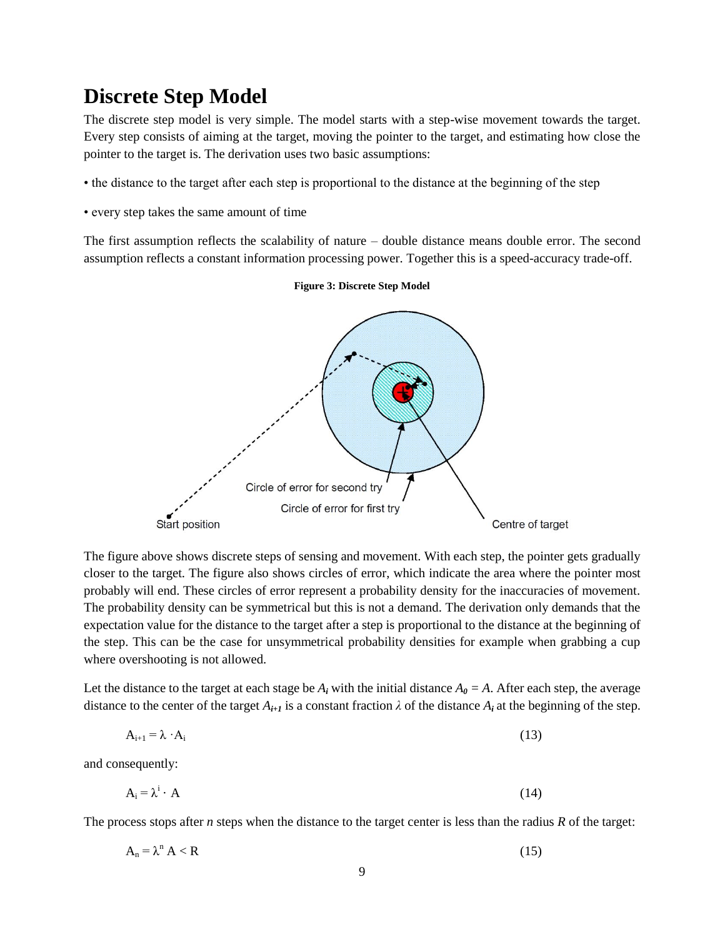### <span id="page-8-0"></span>**Discrete Step Model**

The discrete step model is very simple. The model starts with a step-wise movement towards the target. Every step consists of aiming at the target, moving the pointer to the target, and estimating how close the pointer to the target is. The derivation uses two basic assumptions:

- the distance to the target after each step is proportional to the distance at the beginning of the step
- every step takes the same amount of time

The first assumption reflects the scalability of nature – double distance means double error. The second assumption reflects a constant information processing power. Together this is a speed-accuracy trade-off.

![](_page_8_Figure_5.jpeg)

#### **Figure 3: Discrete Step Model**

The figure above shows discrete steps of sensing and movement. With each step, the pointer gets gradually closer to the target. The figure also shows circles of error, which indicate the area where the pointer most probably will end. These circles of error represent a probability density for the inaccuracies of movement. The probability density can be symmetrical but this is not a demand. The derivation only demands that the expectation value for the distance to the target after a step is proportional to the distance at the beginning of the step. This can be the case for unsymmetrical probability densities for example when grabbing a cup where overshooting is not allowed.

Let the distance to the target at each stage be  $A_i$  with the initial distance  $A_0 = A$ . After each step, the average distance to the center of the target  $A_{i+1}$  is a constant fraction  $\lambda$  of the distance  $A_i$  at the beginning of the step.

$$
A_{i+1} = \lambda \cdot A_i \tag{13}
$$

and consequently:

$$
A_i = \lambda^i \cdot A \tag{14}
$$

The process stops after *n* steps when the distance to the target center is less than the radius *R* of the target:

$$
A_n = \lambda^n A < R \tag{15}
$$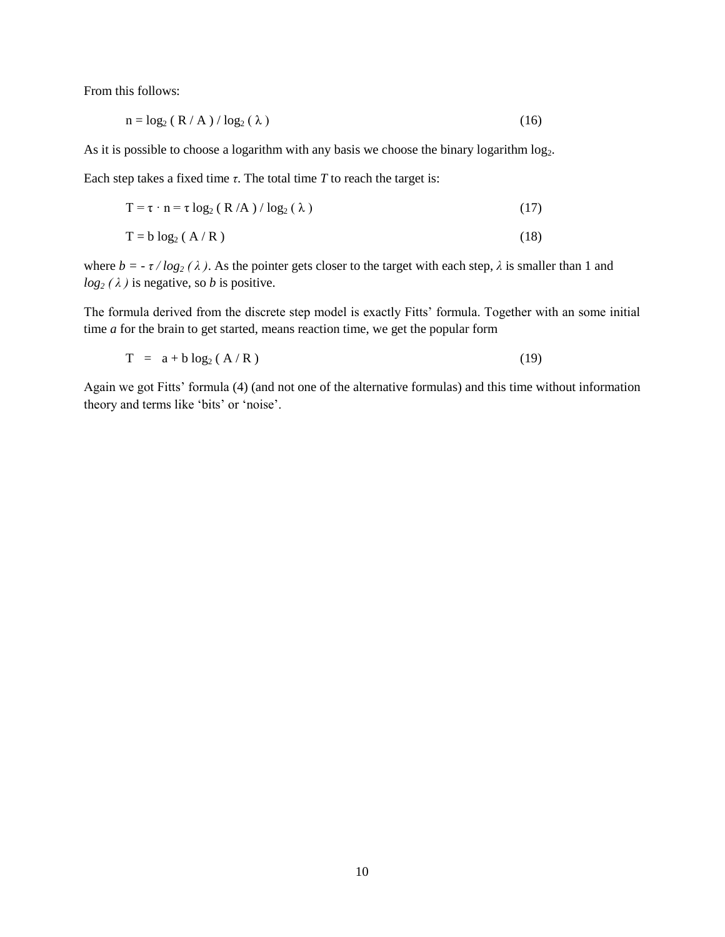From this follows:

$$
n = \log_2 (R/A) / \log_2(\lambda)
$$
 (16)

As it is possible to choose a logarithm with any basis we choose the binary logarithm log<sub>2</sub>.

Each step takes a fixed time  $\tau$ . The total time  $T$  to reach the target is:

$$
T = \tau \cdot n = \tau \log_2 (R/A) / \log_2 (\lambda)
$$
 (17)

$$
T = b \log_2 (A/R) \tag{18}
$$

where  $b = -\tau / log_2(\lambda)$ . As the pointer gets closer to the target with each step,  $\lambda$  is smaller than 1 and  $log_2(\lambda)$  is negative, so *b* is positive.

The formula derived from the discrete step model is exactly Fitts' formula. Together with an some initial time *a* for the brain to get started, means reaction time, we get the popular form

$$
T = a + b \log_2 (A/R) \tag{19}
$$

Again we got Fitts' formula (4) (and not one of the alternative formulas) and this time without information theory and terms like 'bits' or 'noise'.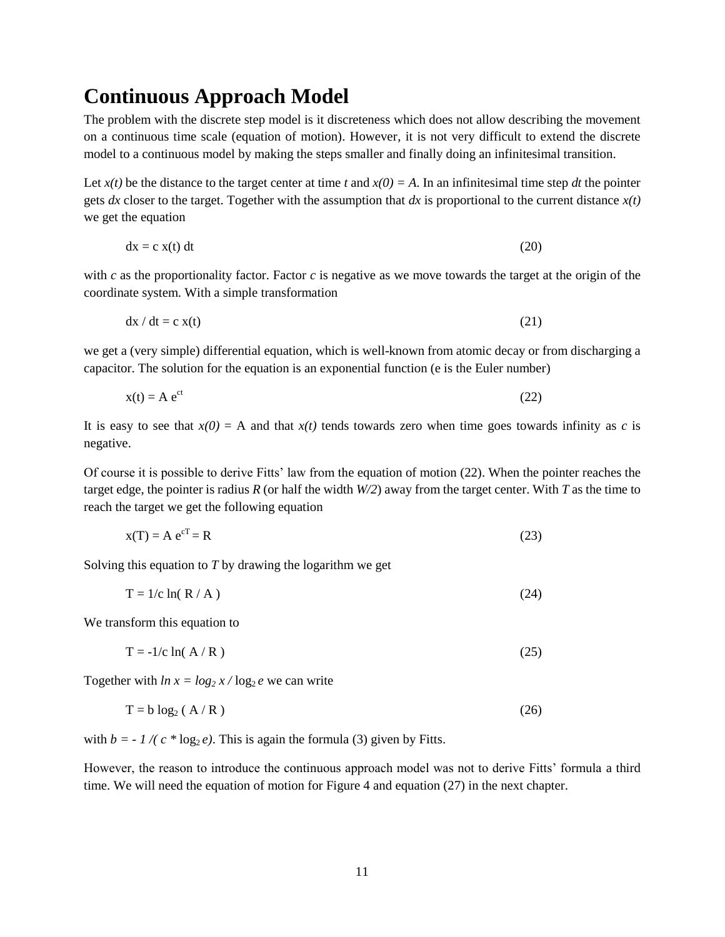### <span id="page-10-0"></span>**Continuous Approach Model**

The problem with the discrete step model is it discreteness which does not allow describing the movement on a continuous time scale (equation of motion). However, it is not very difficult to extend the discrete model to a continuous model by making the steps smaller and finally doing an infinitesimal transition.

Let  $x(t)$  be the distance to the target center at time *t* and  $x(0) = A$ . In an infinitesimal time step *dt* the pointer gets *dx* closer to the target. Together with the assumption that *dx* is proportional to the current distance  $x(t)$ we get the equation

$$
dx = c x(t) dt
$$
 (20)

with *c* as the proportionality factor. Factor *c* is negative as we move towards the target at the origin of the coordinate system. With a simple transformation

$$
dx / dt = c x(t)
$$
 (21)

we get a (very simple) differential equation, which is well-known from atomic decay or from discharging a capacitor. The solution for the equation is an exponential function (e is the Euler number)

$$
x(t) = A e^{ct}
$$
 (22)

It is easy to see that  $x(0) = A$  and that  $x(t)$  tends towards zero when time goes towards infinity as *c* is negative.

Of course it is possible to derive Fitts' law from the equation of motion (22). When the pointer reaches the target edge, the pointer is radius  $R$  (or half the width  $W/2$ ) away from the target center. With  $T$  as the time to reach the target we get the following equation

$$
x(T) = A e^{cT} = R
$$
\n<sup>(23)</sup>

Solving this equation to *T* by drawing the logarithm we get

$$
T = 1/c \ln(R/A)
$$
 (24)

We transform this equation to

$$
T = -1/c \ln(A/R) \tag{25}
$$

Together with  $ln x = log_2 x / log_2 e$  we can write

$$
T = b \log_2 (A/R) \tag{26}
$$

with  $b = -1/(c * log<sub>2</sub> e)$ . This is again the formula (3) given by Fitts.

However, the reason to introduce the continuous approach model was not to derive Fitts' formula a third time. We will need the equation of motion for [Figure 4](#page-11-1) and equation (27) in the next chapter.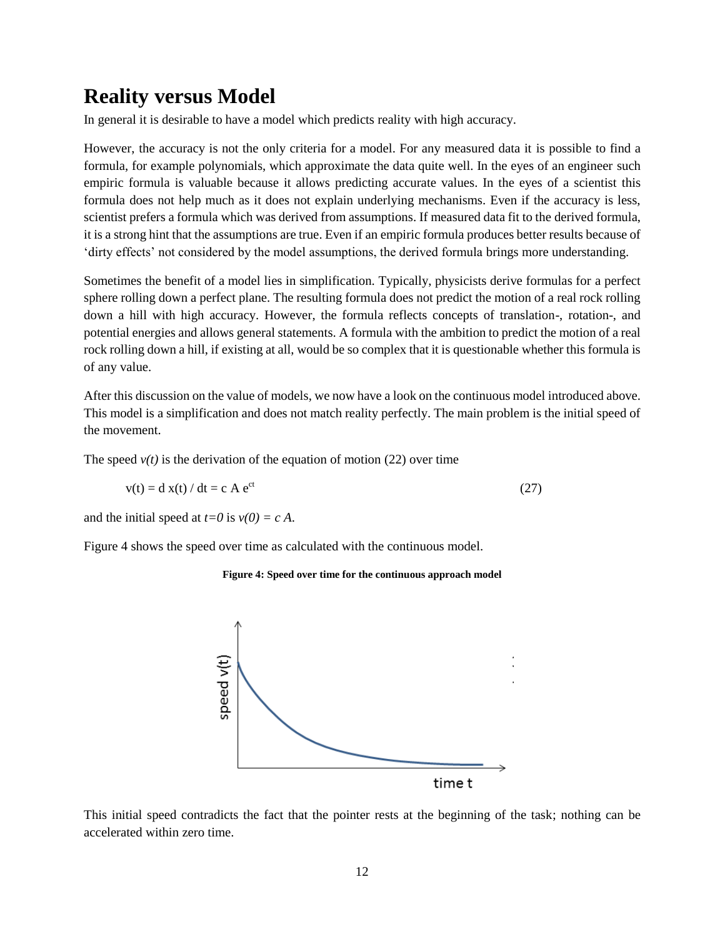# <span id="page-11-0"></span>**Reality versus Model**

In general it is desirable to have a model which predicts reality with high accuracy.

However, the accuracy is not the only criteria for a model. For any measured data it is possible to find a formula, for example polynomials, which approximate the data quite well. In the eyes of an engineer such empiric formula is valuable because it allows predicting accurate values. In the eyes of a scientist this formula does not help much as it does not explain underlying mechanisms. Even if the accuracy is less, scientist prefers a formula which was derived from assumptions. If measured data fit to the derived formula, it is a strong hint that the assumptions are true. Even if an empiric formula produces better results because of 'dirty effects' not considered by the model assumptions, the derived formula brings more understanding.

Sometimes the benefit of a model lies in simplification. Typically, physicists derive formulas for a perfect sphere rolling down a perfect plane. The resulting formula does not predict the motion of a real rock rolling down a hill with high accuracy. However, the formula reflects concepts of translation-, rotation-, and potential energies and allows general statements. A formula with the ambition to predict the motion of a real rock rolling down a hill, if existing at all, would be so complex that it is questionable whether this formula is of any value.

After this discussion on the value of models, we now have a look on the continuous model introduced above. This model is a simplification and does not match reality perfectly. The main problem is the initial speed of the movement.

The speed  $v(t)$  is the derivation of the equation of motion (22) over time

$$
v(t) = d x(t) / dt = c A e^{ct}
$$
 (27)

and the initial speed at  $t=0$  is  $v(0) = c A$ .

<span id="page-11-1"></span>[Figure 4](#page-11-1) shows the speed over time as calculated with the continuous model.

#### **Figure 4: Speed over time for the continuous approach model**

![](_page_11_Figure_10.jpeg)

This initial speed contradicts the fact that the pointer rests at the beginning of the task; nothing can be accelerated within zero time.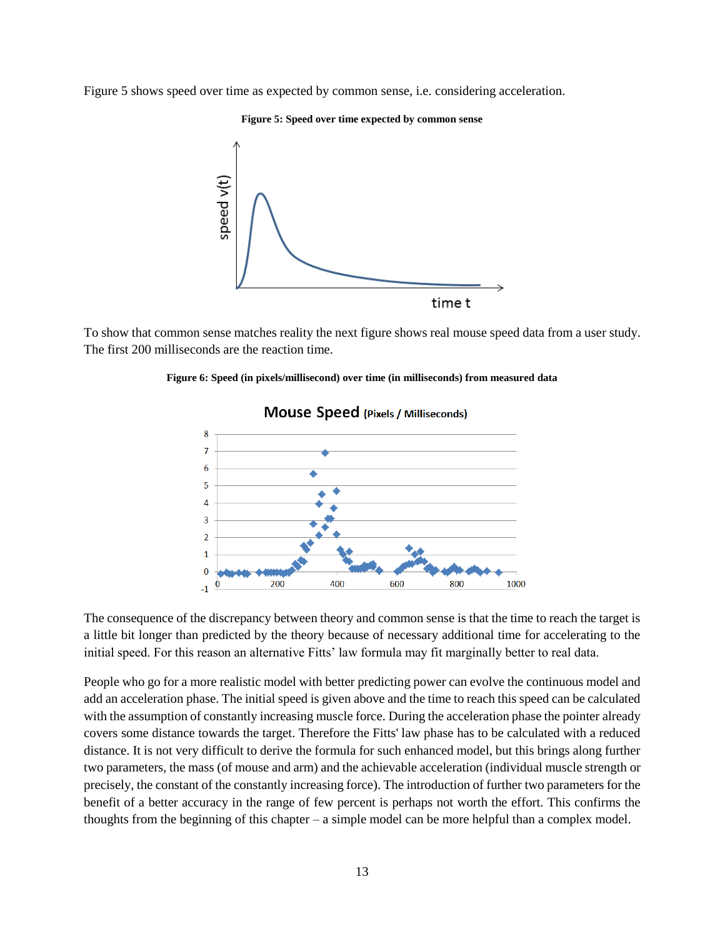<span id="page-12-0"></span>[Figure 5](#page-12-0) shows speed over time as expected by common sense, i.e. considering acceleration.

#### **Figure 5: Speed over time expected by common sense**

![](_page_12_Figure_2.jpeg)

<span id="page-12-1"></span>To show that common sense matches reality the next figure shows real mouse speed data from a user study. The first 200 milliseconds are the reaction time.

#### Mouse Speed (Pixels / Milliseconds) 8  $\overline{7}$  $6\phantom{1}6$ 5 4 Ŕ  $\overline{a}$  $\mathbf{1}$  $\bf{0}$ 200 400 600 800 1000  $-1$

#### **Figure 6: Speed (in pixels/millisecond) over time (in milliseconds) from measured data**

The consequence of the discrepancy between theory and common sense is that the time to reach the target is a little bit longer than predicted by the theory because of necessary additional time for accelerating to the initial speed. For this reason an alternative Fitts' law formula may fit marginally better to real data.

People who go for a more realistic model with better predicting power can evolve the continuous model and add an acceleration phase. The initial speed is given above and the time to reach this speed can be calculated with the assumption of constantly increasing muscle force. During the acceleration phase the pointer already covers some distance towards the target. Therefore the Fitts' law phase has to be calculated with a reduced distance. It is not very difficult to derive the formula for such enhanced model, but this brings along further two parameters, the mass (of mouse and arm) and the achievable acceleration (individual muscle strength or precisely, the constant of the constantly increasing force). The introduction of further two parameters for the benefit of a better accuracy in the range of few percent is perhaps not worth the effort. This confirms the thoughts from the beginning of this chapter – a simple model can be more helpful than a complex model.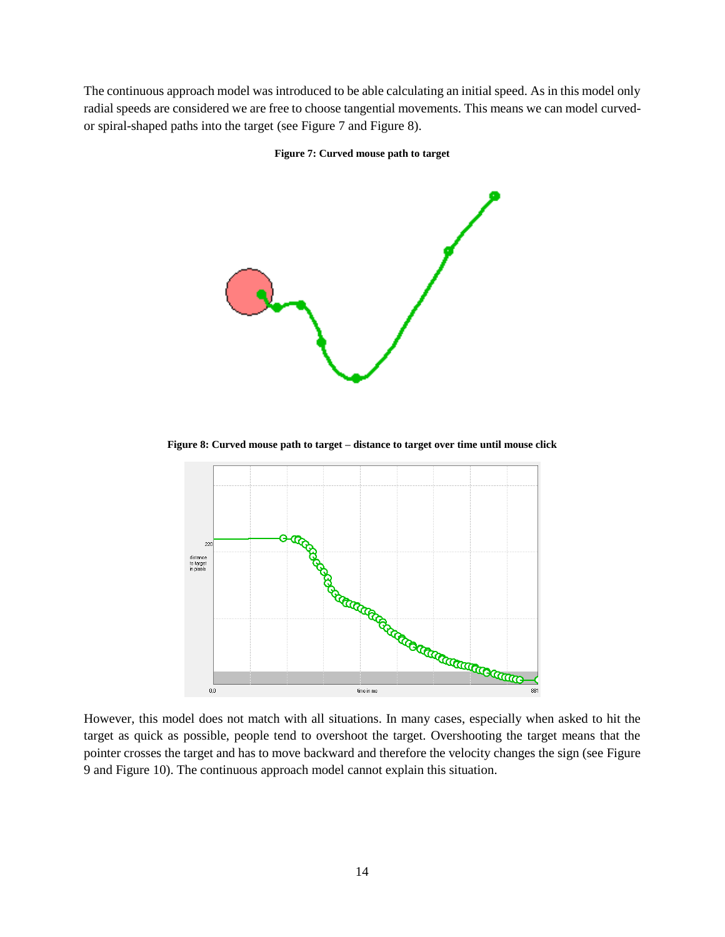<span id="page-13-0"></span>The continuous approach model was introduced to be able calculating an initial speed. As in this model only radial speeds are considered we are free to choose tangential movements. This means we can model curvedor spiral-shaped paths into the target (see [Figure 7](#page-13-0) and [Figure 8\)](#page-13-1).

**Figure 7: Curved mouse path to target**

![](_page_13_Figure_2.jpeg)

**Figure 8: Curved mouse path to target – distance to target over time until mouse click**

<span id="page-13-1"></span>![](_page_13_Figure_4.jpeg)

target as quick as possible, people tend to overshoot the target. Overshooting the target means that the pointer crosses the target and has to move backward and therefore the velocity changes the sign (see [Figure](#page-14-0)  [9](#page-14-0) an[d Figure 10\)](#page-14-1). The continuous approach model cannot explain this situation.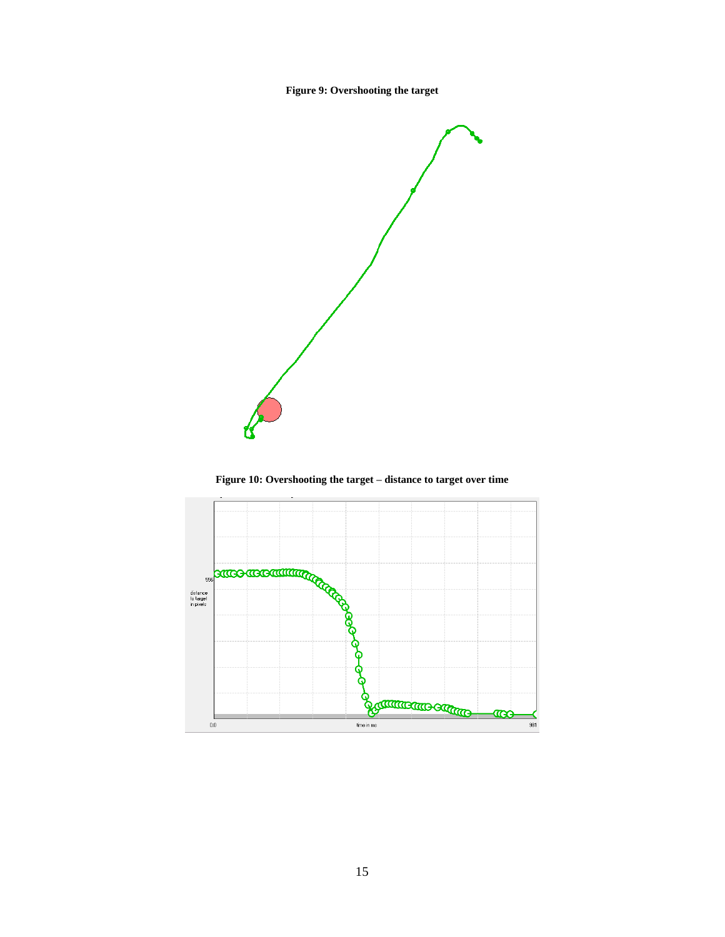**Figure 9: Overshooting the target**

<span id="page-14-0"></span>![](_page_14_Figure_1.jpeg)

<span id="page-14-1"></span>![](_page_14_Figure_3.jpeg)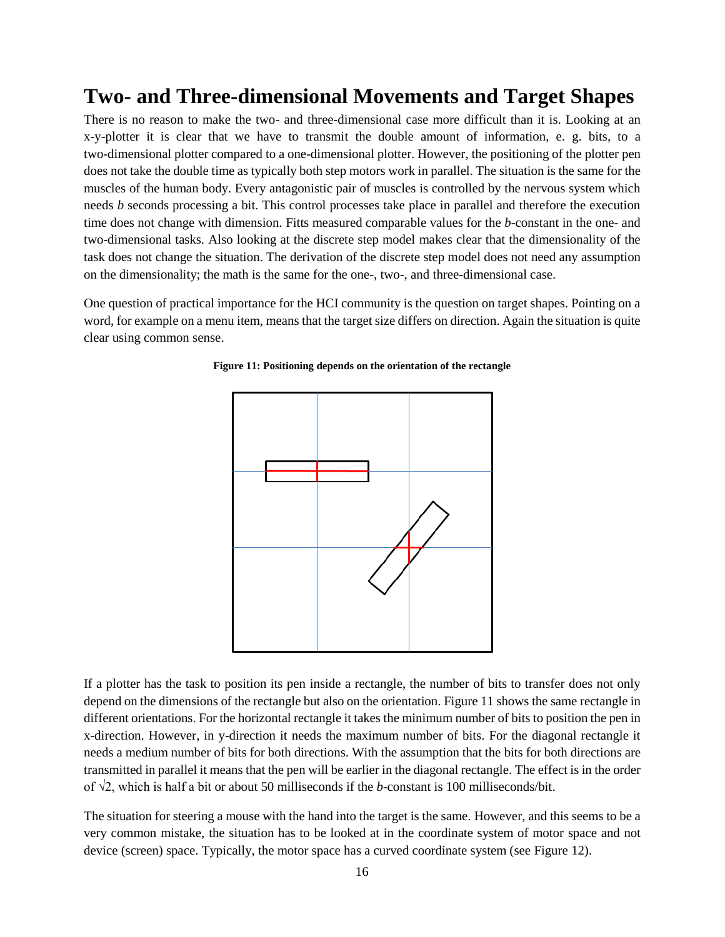### <span id="page-15-0"></span>**Two- and Three-dimensional Movements and Target Shapes**

There is no reason to make the two- and three-dimensional case more difficult than it is. Looking at an x-y-plotter it is clear that we have to transmit the double amount of information, e. g. bits, to a two-dimensional plotter compared to a one-dimensional plotter. However, the positioning of the plotter pen does not take the double time as typically both step motors work in parallel. The situation is the same for the muscles of the human body. Every antagonistic pair of muscles is controlled by the nervous system which needs *b* seconds processing a bit. This control processes take place in parallel and therefore the execution time does not change with dimension. Fitts measured comparable values for the *b*-constant in the one- and two-dimensional tasks. Also looking at the discrete step model makes clear that the dimensionality of the task does not change the situation. The derivation of the discrete step model does not need any assumption on the dimensionality; the math is the same for the one-, two-, and three-dimensional case.

<span id="page-15-1"></span>One question of practical importance for the HCI community is the question on target shapes. Pointing on a word, for example on a menu item, means that the target size differs on direction. Again the situation is quite clear using common sense.

![](_page_15_Figure_3.jpeg)

#### **Figure 11: Positioning depends on the orientation of the rectangle**

If a plotter has the task to position its pen inside a rectangle, the number of bits to transfer does not only depend on the dimensions of the rectangle but also on the orientation. [Figure 11](#page-15-1) shows the same rectangle in different orientations. For the horizontal rectangle it takes the minimum number of bits to position the pen in x-direction. However, in y-direction it needs the maximum number of bits. For the diagonal rectangle it needs a medium number of bits for both directions. With the assumption that the bits for both directions are transmitted in parallel it means that the pen will be earlier in the diagonal rectangle. The effect is in the order of √2, which is half a bit or about 50 milliseconds if the *b*-constant is 100 milliseconds/bit.

The situation for steering a mouse with the hand into the target is the same. However, and this seems to be a very common mistake, the situation has to be looked at in the coordinate system of motor space and not device (screen) space. Typically, the motor space has a curved coordinate system (see [Figure 12\)](#page-16-0).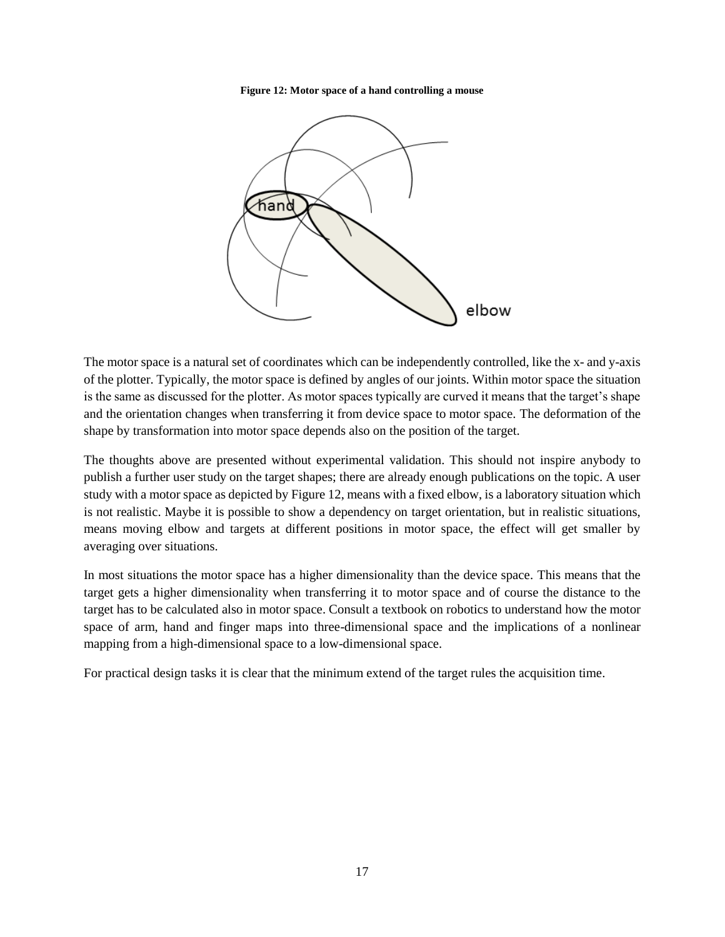**Figure 12: Motor space of a hand controlling a mouse**

<span id="page-16-0"></span>![](_page_16_Figure_1.jpeg)

The motor space is a natural set of coordinates which can be independently controlled, like the x- and y-axis of the plotter. Typically, the motor space is defined by angles of our joints. Within motor space the situation is the same as discussed for the plotter. As motor spaces typically are curved it means that the target's shape and the orientation changes when transferring it from device space to motor space. The deformation of the shape by transformation into motor space depends also on the position of the target.

The thoughts above are presented without experimental validation. This should not inspire anybody to publish a further user study on the target shapes; there are already enough publications on the topic. A user study with a motor space as depicted by [Figure 12,](#page-16-0) means with a fixed elbow, is a laboratory situation which is not realistic. Maybe it is possible to show a dependency on target orientation, but in realistic situations, means moving elbow and targets at different positions in motor space, the effect will get smaller by averaging over situations.

In most situations the motor space has a higher dimensionality than the device space. This means that the target gets a higher dimensionality when transferring it to motor space and of course the distance to the target has to be calculated also in motor space. Consult a textbook on robotics to understand how the motor space of arm, hand and finger maps into three-dimensional space and the implications of a nonlinear mapping from a high-dimensional space to a low-dimensional space.

For practical design tasks it is clear that the minimum extend of the target rules the acquisition time.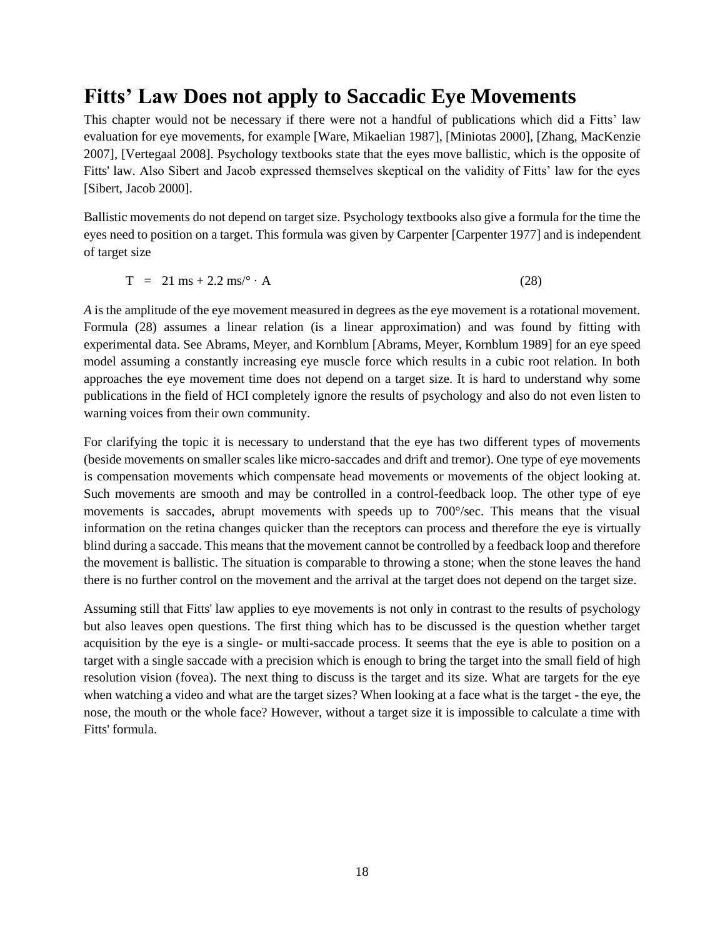### <span id="page-17-0"></span>**Fitts' Law Does not apply to Saccadic Eye Movements**

This chapter would not be necessary if there were not a handful of publications which did a Fitts' law evaluation for eye movements, for example [\[Ware, Mikaelian 1987\]](#page-30-7), [\[Miniotas 2000\]](#page-30-8), [\[Zhang, MacKenzie](#page-30-9)  [2007\]](#page-30-9), [\[Vertegaal 2008\]](#page-30-10). Psychology textbooks state that the eyes move ballistic, which is the opposite of Fitts' law. Also Sibert and Jacob expressed themselves skeptical on the validity of Fitts' law for the eyes [\[Sibert, Jacob 2000\]](#page-30-11).

Ballistic movements do not depend on target size. Psychology textbooks also give a formula for the time the eyes need to position on a target. This formula was given by Carpenter [\[Carpenter 1977\]](#page-30-12) and is independent of target size

$$
T = 21 \text{ ms} + 2.2 \text{ ms}/^{\circ} \cdot \text{A}
$$
 (28)

*A* is the amplitude of the eye movement measured in degrees as the eye movement is a rotational movement. Formula (28) assumes a linear relation (is a linear approximation) and was found by fitting with experimental data. See Abrams, Meyer, and Kornblum [\[Abrams, Meyer, Kornblum 1989\]](#page-30-13) for an eye speed model assuming a constantly increasing eye muscle force which results in a cubic root relation. In both approaches the eye movement time does not depend on a target size. It is hard to understand why some publications in the field of HCI completely ignore the results of psychology and also do not even listen to warning voices from their own community.

For clarifying the topic it is necessary to understand that the eye has two different types of movements (beside movements on smaller scales like micro-saccades and drift and tremor). One type of eye movements is compensation movements which compensate head movements or movements of the object looking at. Such movements are smooth and may be controlled in a control-feedback loop. The other type of eye movements is saccades, abrupt movements with speeds up to 700°/sec. This means that the visual information on the retina changes quicker than the receptors can process and therefore the eye is virtually blind during a saccade. This means that the movement cannot be controlled by a feedback loop and therefore the movement is ballistic. The situation is comparable to throwing a stone; when the stone leaves the hand there is no further control on the movement and the arrival at the target does not depend on the target size.

Assuming still that Fitts' law applies to eye movements is not only in contrast to the results of psychology but also leaves open questions. The first thing which has to be discussed is the question whether target acquisition by the eye is a single- or multi-saccade process. It seems that the eye is able to position on a target with a single saccade with a precision which is enough to bring the target into the small field of high resolution vision (fovea). The next thing to discuss is the target and its size. What are targets for the eye when watching a video and what are the target sizes? When looking at a face what is the target - the eye, the nose, the mouth or the whole face? However, without a target size it is impossible to calculate a time with Fitts' formula.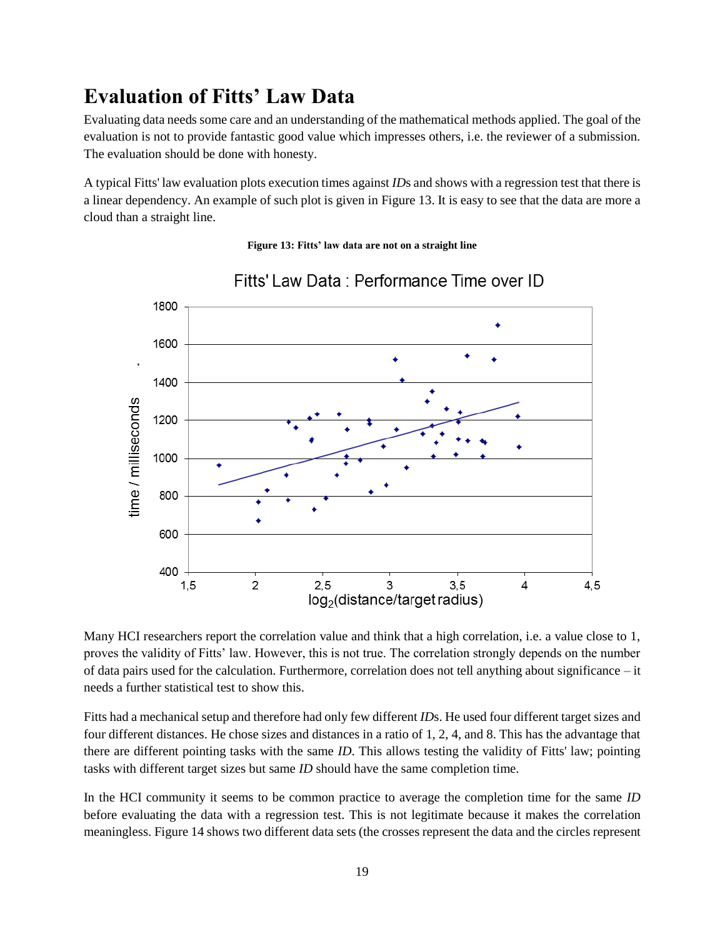# <span id="page-18-0"></span>**Evaluation of Fitts' Law Data**

Evaluating data needs some care and an understanding of the mathematical methods applied. The goal of the evaluation is not to provide fantastic good value which impresses others, i.e. the reviewer of a submission. The evaluation should be done with honesty.

<span id="page-18-1"></span>A typical Fitts' law evaluation plots execution times against *ID*s and shows with a regression test that there is a linear dependency. An example of such plot is given in [Figure 13.](#page-18-1) It is easy to see that the data are more a cloud than a straight line.

#### **Figure 13: Fitts' law data are not on a straight line**

![](_page_18_Figure_4.jpeg)

### Fitts' Law Data : Performance Time over ID

Many HCI researchers report the correlation value and think that a high correlation, i.e. a value close to 1, proves the validity of Fitts' law. However, this is not true. The correlation strongly depends on the number of data pairs used for the calculation. Furthermore, correlation does not tell anything about significance – it needs a further statistical test to show this.

Fitts had a mechanical setup and therefore had only few different *ID*s. He used four different target sizes and four different distances. He chose sizes and distances in a ratio of 1, 2, 4, and 8. This has the advantage that there are different pointing tasks with the same *ID*. This allows testing the validity of Fitts' law; pointing tasks with different target sizes but same *ID* should have the same completion time.

In the HCI community it seems to be common practice to average the completion time for the same *ID* before evaluating the data with a regression test. This is not legitimate because it makes the correlation meaningless[. Figure 14](#page-19-0) shows two different data sets (the crosses represent the data and the circles represent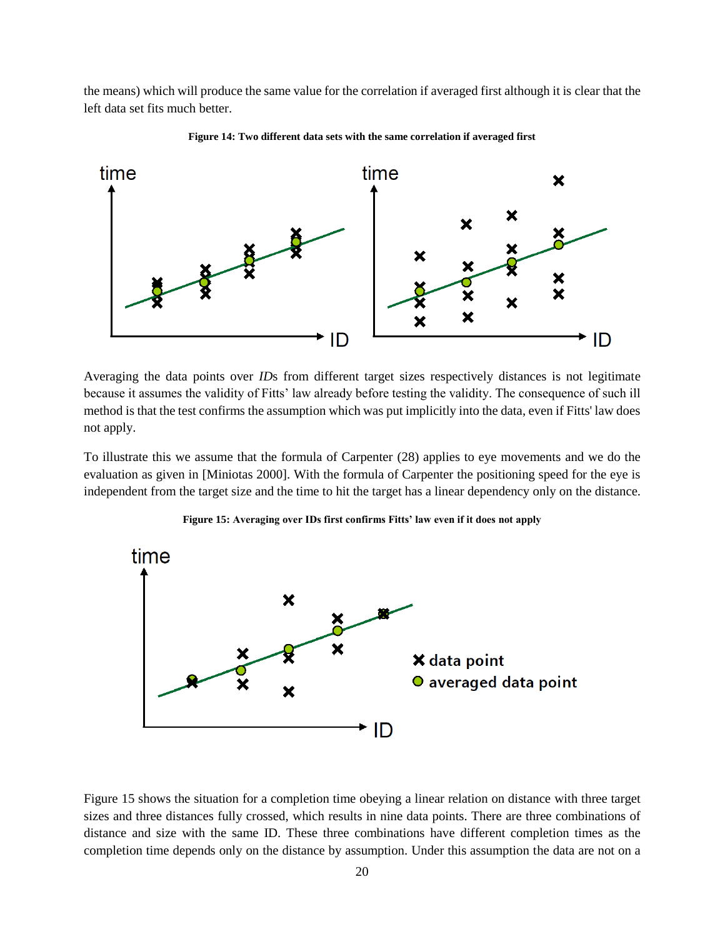the means) which will produce the same value for the correlation if averaged first although it is clear that the left data set fits much better.

<span id="page-19-0"></span>![](_page_19_Figure_1.jpeg)

**Figure 14: Two different data sets with the same correlation if averaged first**

Averaging the data points over *ID*s from different target sizes respectively distances is not legitimate because it assumes the validity of Fitts' law already before testing the validity. The consequence of such ill method is that the test confirms the assumption which was put implicitly into the data, even if Fitts' law does not apply.

To illustrate this we assume that the formula of Carpenter (28) applies to eye movements and we do the evaluation as given in [\[Miniotas 2000\]](#page-30-8). With the formula of Carpenter the positioning speed for the eye is independent from the target size and the time to hit the target has a linear dependency only on the distance.

<span id="page-19-1"></span>![](_page_19_Figure_5.jpeg)

**Figure 15: Averaging over IDs first confirms Fitts' law even if it does not apply**

[Figure 15](#page-19-1) shows the situation for a completion time obeying a linear relation on distance with three target sizes and three distances fully crossed, which results in nine data points. There are three combinations of distance and size with the same ID. These three combinations have different completion times as the completion time depends only on the distance by assumption. Under this assumption the data are not on a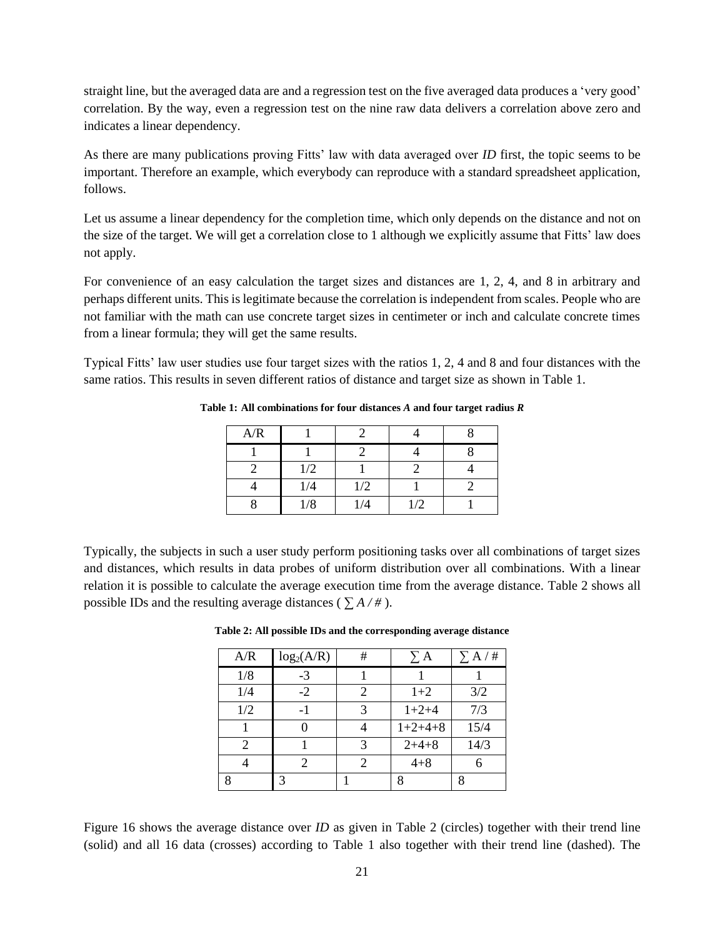straight line, but the averaged data are and a regression test on the five averaged data produces a 'very good' correlation. By the way, even a regression test on the nine raw data delivers a correlation above zero and indicates a linear dependency.

As there are many publications proving Fitts' law with data averaged over *ID* first, the topic seems to be important. Therefore an example, which everybody can reproduce with a standard spreadsheet application, follows.

Let us assume a linear dependency for the completion time, which only depends on the distance and not on the size of the target. We will get a correlation close to 1 although we explicitly assume that Fitts' law does not apply.

For convenience of an easy calculation the target sizes and distances are 1, 2, 4, and 8 in arbitrary and perhaps different units. This is legitimate because the correlation is independent from scales. People who are not familiar with the math can use concrete target sizes in centimeter or inch and calculate concrete times from a linear formula; they will get the same results.

<span id="page-20-0"></span>Typical Fitts' law user studies use four target sizes with the ratios 1, 2, 4 and 8 and four distances with the same ratios. This results in seven different ratios of distance and target size as shown in [Table 1.](#page-20-0)

| A/R |     |     |     |  |
|-----|-----|-----|-----|--|
|     |     |     |     |  |
|     | 1/2 |     |     |  |
|     | 1/4 | 1/2 |     |  |
|     | 1/8 | 1/4 | 1/2 |  |

**Table 1: All combinations for four distances** *A* **and four target radius** *R*

<span id="page-20-1"></span>Typically, the subjects in such a user study perform positioning tasks over all combinations of target sizes and distances, which results in data probes of uniform distribution over all combinations. With a linear relation it is possible to calculate the average execution time from the average distance. [Table 2](#page-20-1) shows all possible IDs and the resulting average distances ( $\sum A / \#$ ).

|  |  | Table 2: All possible IDs and the corresponding average distance |  |
|--|--|------------------------------------------------------------------|--|
|  |  |                                                                  |  |

| A/R | log <sub>2</sub> (A/R) | # | $\Sigma$ A | $\Sigma$ A / # |
|-----|------------------------|---|------------|----------------|
| 1/8 | $-3$                   |   |            |                |
| 1/4 | $-2$                   | 2 | $1+2$      | 3/2            |
| 1/2 |                        | 3 | $1+2+4$    | 7/3            |
|     |                        |   | $1+2+4+8$  | 15/4           |
| 2   |                        | 3 | $2+4+8$    | 14/3           |
|     | 2                      | 2 | $4 + 8$    |                |
| Q   | 3                      |   |            |                |

[Figure 16](#page-21-0) shows the average distance over *ID* as given in [Table 2](#page-20-1) (circles) together with their trend line (solid) and all 16 data (crosses) according to [Table 1](#page-20-0) also together with their trend line (dashed). The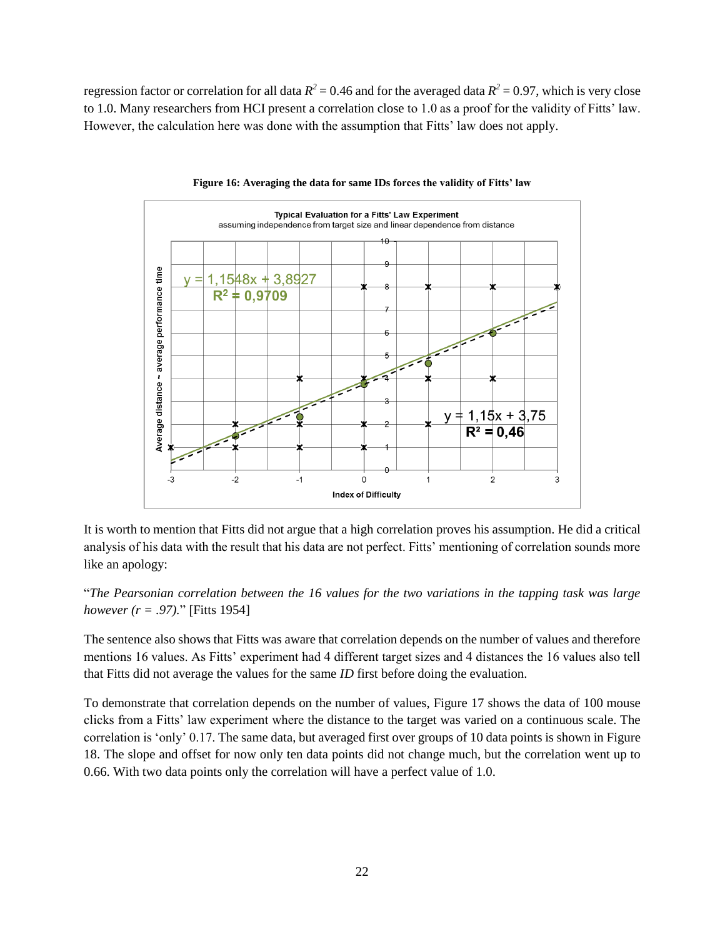regression factor or correlation for all data  $R^2 = 0.46$  and for the averaged data  $R^2 = 0.97$ , which is very close to 1.0. Many researchers from HCI present a correlation close to 1.0 as a proof for the validity of Fitts' law. However, the calculation here was done with the assumption that Fitts' law does not apply.

<span id="page-21-0"></span>![](_page_21_Figure_1.jpeg)

![](_page_21_Figure_2.jpeg)

It is worth to mention that Fitts did not argue that a high correlation proves his assumption. He did a critical analysis of his data with the result that his data are not perfect. Fitts' mentioning of correlation sounds more like an apology:

"*The Pearsonian correlation between the 16 values for the two variations in the tapping task was large however (r = .97).*" [\[Fitts 1954\]](#page-30-1)

The sentence also shows that Fitts was aware that correlation depends on the number of values and therefore mentions 16 values. As Fitts' experiment had 4 different target sizes and 4 distances the 16 values also tell that Fitts did not average the values for the same *ID* first before doing the evaluation.

To demonstrate that correlation depends on the number of values, [Figure 17](#page-22-0) shows the data of 100 mouse clicks from a Fitts' law experiment where the distance to the target was varied on a continuous scale. The correlation is 'only' 0.17. The same data, but averaged first over groups of 10 data points is shown i[n Figure](#page-22-1)  [18.](#page-22-1) The slope and offset for now only ten data points did not change much, but the correlation went up to 0.66. With two data points only the correlation will have a perfect value of 1.0.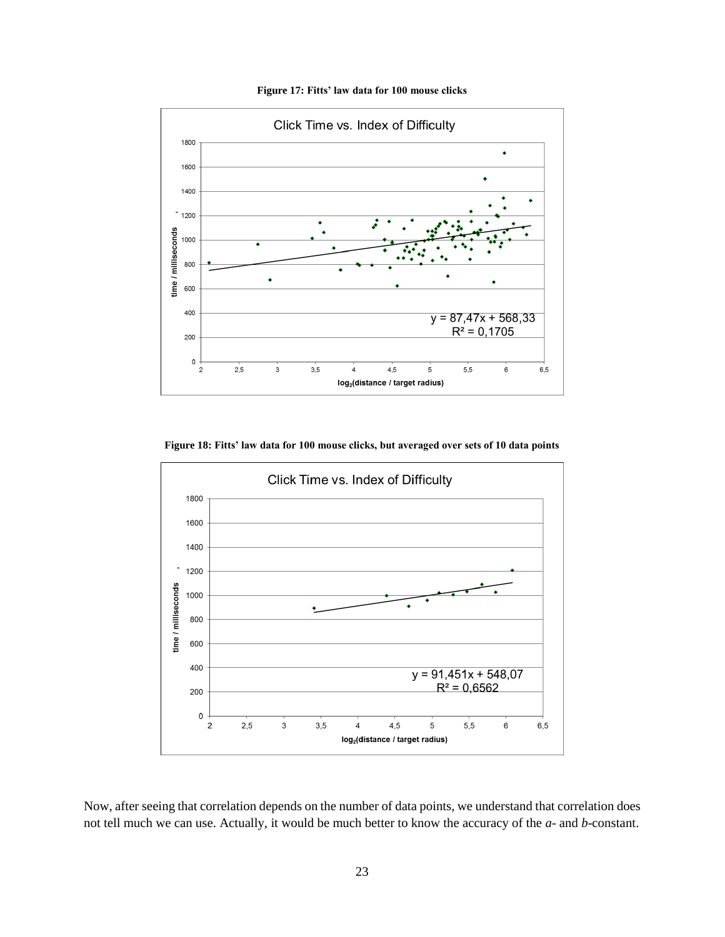<span id="page-22-0"></span>![](_page_22_Figure_0.jpeg)

**Figure 17: Fitts' law data for 100 mouse clicks**

**Figure 18: Fitts' law data for 100 mouse clicks, but averaged over sets of 10 data points**

<span id="page-22-1"></span>![](_page_22_Figure_3.jpeg)

Now, after seeing that correlation depends on the number of data points, we understand that correlation does not tell much we can use. Actually, it would be much better to know the accuracy of the *a*- and *b*-constant.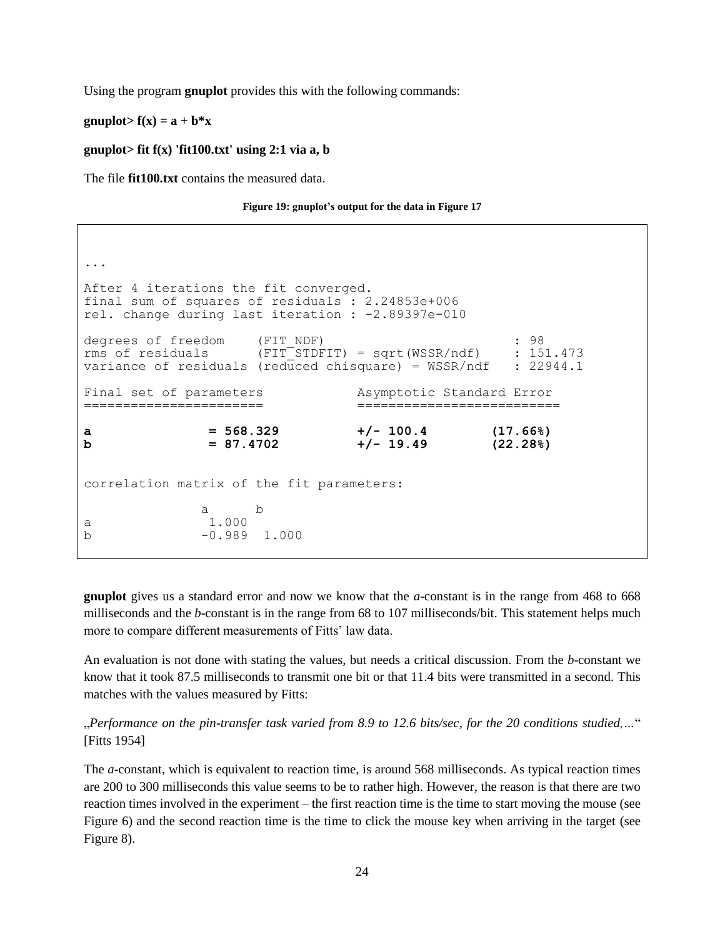Using the program **gnuplot** provides this with the following commands:

#### gnuplot> $f(x) = a + b*x$

#### **gnuplot> fit f(x) 'fit100.txt' using 2:1 via a, b**

The file **fit100.txt** contains the measured data.

**Figure 19: gnuplot's output for the data in [Figure 17](#page-22-0)**

```
...
After 4 iterations the fit converged.
final sum of squares of residuals : 2.24853e+006
rel. change during last iteration : -2.89397e-010
degrees of freedom (FIT_NDF) : 98
rms of residuals (FIT<sup>-STDFIT</sup>) = sqrt(WSSR/ndf) : 151.473
variance of residuals (reduced chisquare) = WSSR/ndf : 22944.1
Final set of parameters Asymptotic Standard Error
======================= ==========================
a = 568.329 +/- 100.4 (17.66%)
b = 87.4702 +/- 19.49 (22.28%)
correlation matrix of the fit parameters:
 a b 
a 1.000 
b -0.989 1.000
```
**gnuplot** gives us a standard error and now we know that the *a*-constant is in the range from 468 to 668 milliseconds and the *b*-constant is in the range from 68 to 107 milliseconds/bit. This statement helps much more to compare different measurements of Fitts' law data.

An evaluation is not done with stating the values, but needs a critical discussion. From the *b*-constant we know that it took 87.5 milliseconds to transmit one bit or that 11.4 bits were transmitted in a second. This matches with the values measured by Fitts:

"*Performance on the pin-transfer task varied from 8.9 to 12.6 bits/sec, for the 20 conditions studied,…*" [\[Fitts 1954\]](#page-30-1)

The *a*-constant, which is equivalent to reaction time, is around 568 milliseconds. As typical reaction times are 200 to 300 milliseconds this value seems to be to rather high. However, the reason is that there are two reaction times involved in the experiment – the first reaction time is the time to start moving the mouse (see [Figure 6\)](#page-12-1) and the second reaction time is the time to click the mouse key when arriving in the target (see [Figure 8\)](#page-13-1).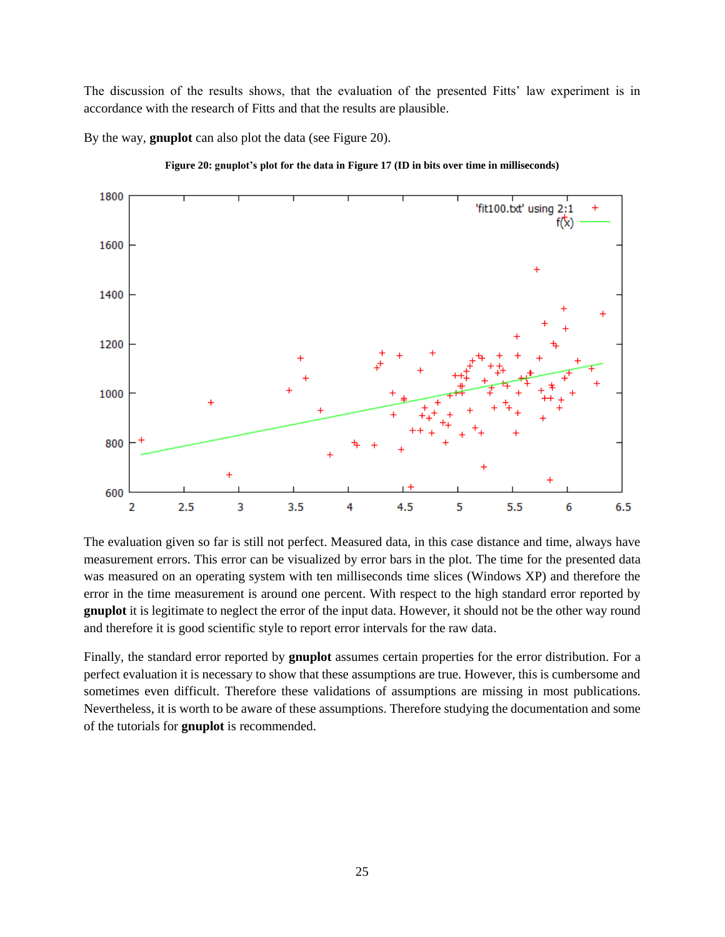The discussion of the results shows, that the evaluation of the presented Fitts' law experiment is in accordance with the research of Fitts and that the results are plausible.

By the way, **gnuplot** can also plot the data (see [Figure 20\)](#page-24-0).

<span id="page-24-0"></span>![](_page_24_Figure_2.jpeg)

![](_page_24_Figure_3.jpeg)

The evaluation given so far is still not perfect. Measured data, in this case distance and time, always have measurement errors. This error can be visualized by error bars in the plot. The time for the presented data was measured on an operating system with ten milliseconds time slices (Windows XP) and therefore the error in the time measurement is around one percent. With respect to the high standard error reported by **gnuplot** it is legitimate to neglect the error of the input data. However, it should not be the other way round and therefore it is good scientific style to report error intervals for the raw data.

Finally, the standard error reported by **gnuplot** assumes certain properties for the error distribution. For a perfect evaluation it is necessary to show that these assumptions are true. However, this is cumbersome and sometimes even difficult. Therefore these validations of assumptions are missing in most publications. Nevertheless, it is worth to be aware of these assumptions. Therefore studying the documentation and some of the tutorials for **gnuplot** is recommended.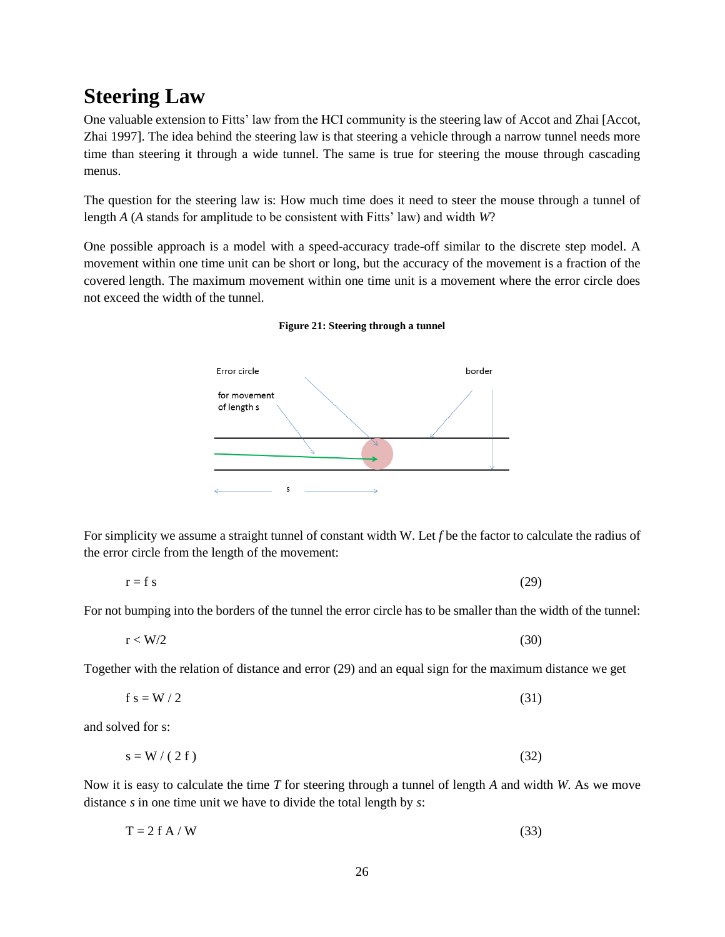# <span id="page-25-0"></span>**Steering Law**

One valuable extension to Fitts' law from the HCI community is the steering law of Accot and Zhai [\[Accot,](#page-30-14)  [Zhai 1997\]](#page-30-14). The idea behind the steering law is that steering a vehicle through a narrow tunnel needs more time than steering it through a wide tunnel. The same is true for steering the mouse through cascading menus.

The question for the steering law is: How much time does it need to steer the mouse through a tunnel of length *A* (*A* stands for amplitude to be consistent with Fitts' law) and width *W*?

<span id="page-25-1"></span>One possible approach is a model with a speed-accuracy trade-off similar to the discrete step model. A movement within one time unit can be short or long, but the accuracy of the movement is a fraction of the covered length. The maximum movement within one time unit is a movement where the error circle does not exceed the width of the tunnel.

![](_page_25_Figure_4.jpeg)

#### **Figure 21: Steering through a tunnel**

For simplicity we assume a straight tunnel of constant width W. Let *f* be the factor to calculate the radius of the error circle from the length of the movement:

$$
r = f s \tag{29}
$$

For not bumping into the borders of the tunnel the error circle has to be smaller than the width of the tunnel:

$$
r < W/2 \tag{30}
$$

Together with the relation of distance and error (29) and an equal sign for the maximum distance we get

$$
f s = W / 2 \tag{31}
$$

and solved for s:

$$
s = W / (2 f) \tag{32}
$$

Now it is easy to calculate the time *T* for steering through a tunnel of length *A* and width *W*. As we move distance *s* in one time unit we have to divide the total length by *s*:

$$
T = 2 f A / W \tag{33}
$$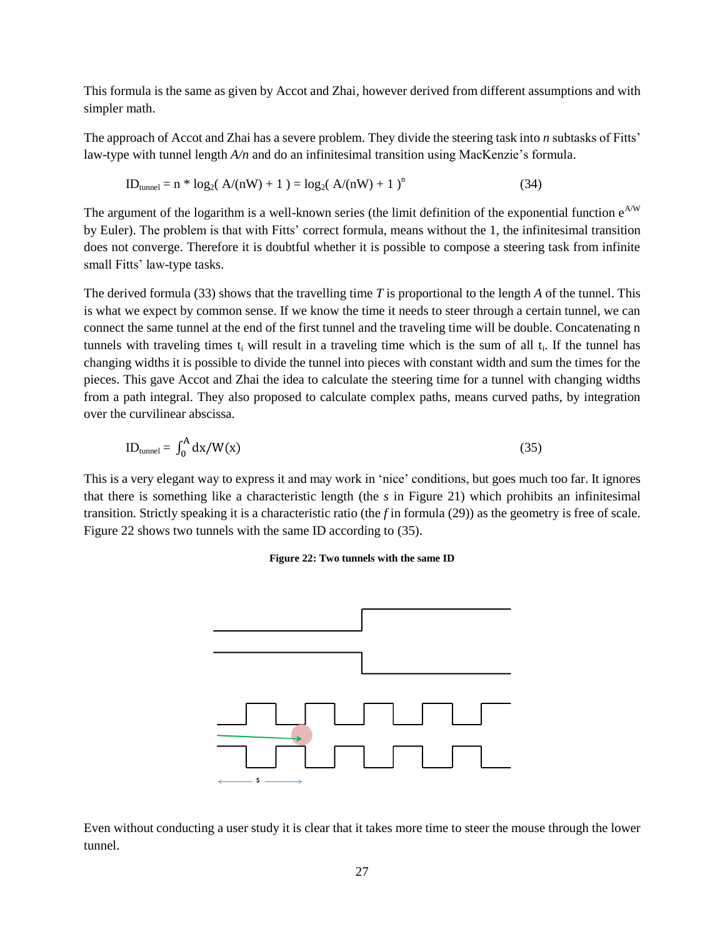This formula is the same as given by Accot and Zhai, however derived from different assumptions and with simpler math.

The approach of Accot and Zhai has a severe problem. They divide the steering task into *n* subtasks of Fitts' law-type with tunnel length *A/n* and do an infinitesimal transition using MacKenzie's formula.

$$
ID_{tunnel} = n * log_2(A/(nW) + 1) = log_2(A/(nW) + 1)^n
$$
\n(34)

The argument of the logarithm is a well-known series (the limit definition of the exponential function  $e^{AW}$ by Euler). The problem is that with Fitts' correct formula, means without the 1, the infinitesimal transition does not converge. Therefore it is doubtful whether it is possible to compose a steering task from infinite small Fitts' law-type tasks.

The derived formula (33) shows that the travelling time *T* is proportional to the length *A* of the tunnel. This is what we expect by common sense. If we know the time it needs to steer through a certain tunnel, we can connect the same tunnel at the end of the first tunnel and the traveling time will be double. Concatenating n tunnels with traveling times  $t_i$  will result in a traveling time which is the sum of all  $t_i$ . If the tunnel has changing widths it is possible to divide the tunnel into pieces with constant width and sum the times for the pieces. This gave Accot and Zhai the idea to calculate the steering time for a tunnel with changing widths from a path integral. They also proposed to calculate complex paths, means curved paths, by integration over the curvilinear abscissa.

$$
ID_{\text{tunnel}} = \int_0^A dx / W(x) \tag{35}
$$

<span id="page-26-0"></span>This is a very elegant way to express it and may work in 'nice' conditions, but goes much too far. It ignores that there is something like a characteristic length (the *s* in [Figure 21\)](#page-25-1) which prohibits an infinitesimal transition. Strictly speaking it is a characteristic ratio (the *f* in formula (29)) as the geometry is free of scale. [Figure 22](#page-26-0) shows two tunnels with the same ID according to (35).

#### **Figure 22: Two tunnels with the same ID**

![](_page_26_Figure_8.jpeg)

Even without conducting a user study it is clear that it takes more time to steer the mouse through the lower tunnel.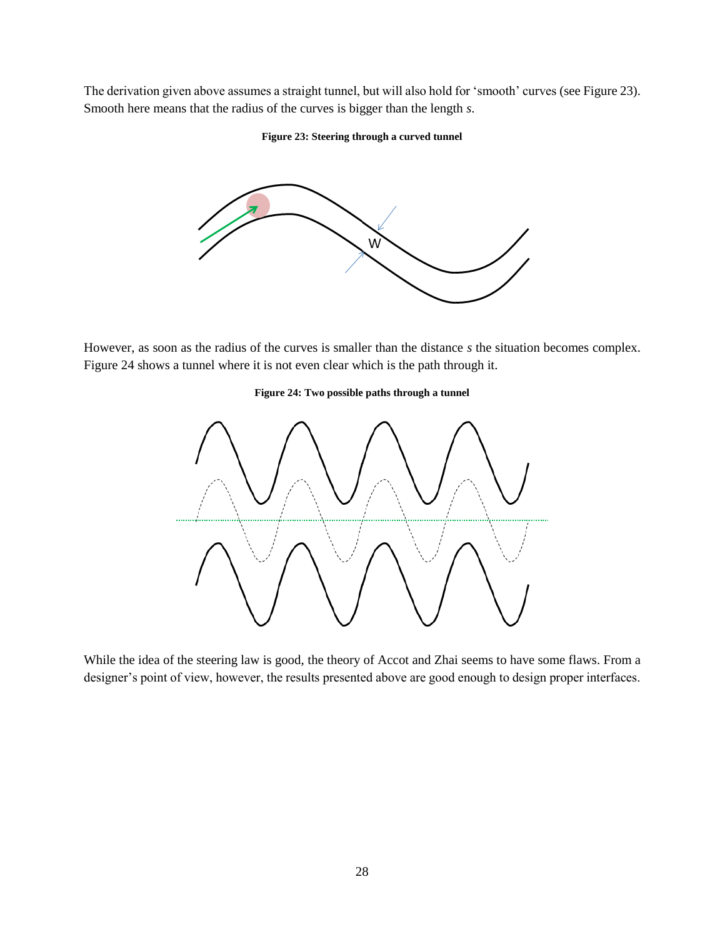<span id="page-27-0"></span>The derivation given above assumes a straight tunnel, but will also hold for 'smooth' curves (se[e Figure 23\)](#page-27-0). Smooth here means that the radius of the curves is bigger than the length *s*.

#### **Figure 23: Steering through a curved tunnel**

![](_page_27_Figure_2.jpeg)

<span id="page-27-1"></span>However, as soon as the radius of the curves is smaller than the distance *s* the situation becomes complex. [Figure 24](#page-27-1) shows a tunnel where it is not even clear which is the path through it.

#### **Figure 24: Two possible paths through a tunnel**

![](_page_27_Figure_5.jpeg)

While the idea of the steering law is good, the theory of Accot and Zhai seems to have some flaws. From a designer's point of view, however, the results presented above are good enough to design proper interfaces.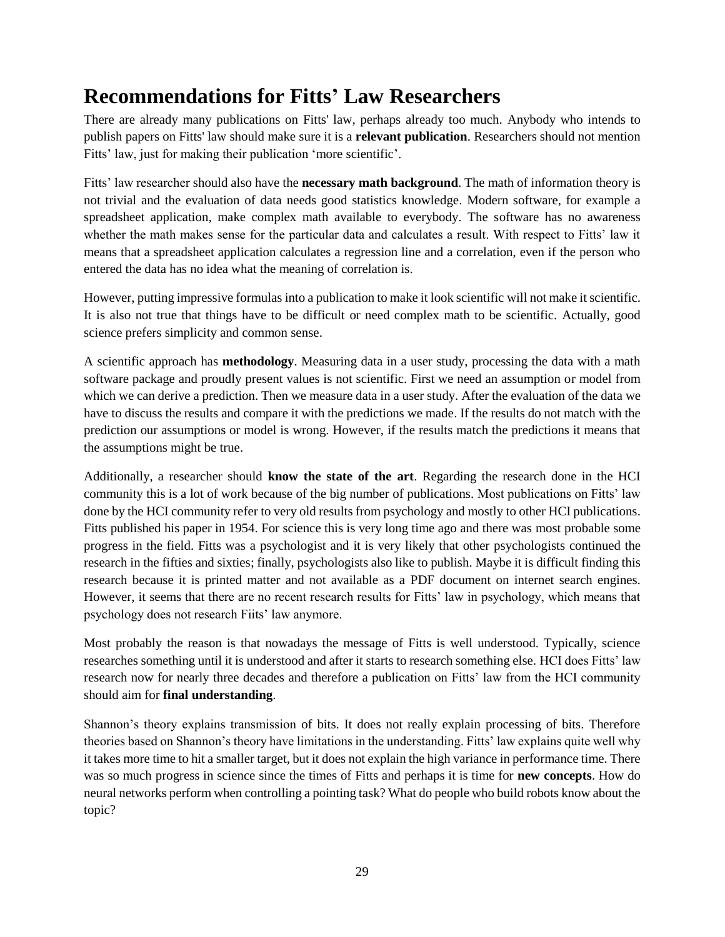# <span id="page-28-0"></span>**Recommendations for Fitts' Law Researchers**

There are already many publications on Fitts' law, perhaps already too much. Anybody who intends to publish papers on Fitts' law should make sure it is a **relevant publication**. Researchers should not mention Fitts' law, just for making their publication 'more scientific'.

Fitts' law researcher should also have the **necessary math background**. The math of information theory is not trivial and the evaluation of data needs good statistics knowledge. Modern software, for example a spreadsheet application, make complex math available to everybody. The software has no awareness whether the math makes sense for the particular data and calculates a result. With respect to Fitts' law it means that a spreadsheet application calculates a regression line and a correlation, even if the person who entered the data has no idea what the meaning of correlation is.

However, putting impressive formulas into a publication to make it look scientific will not make it scientific. It is also not true that things have to be difficult or need complex math to be scientific. Actually, good science prefers simplicity and common sense.

A scientific approach has **methodology**. Measuring data in a user study, processing the data with a math software package and proudly present values is not scientific. First we need an assumption or model from which we can derive a prediction. Then we measure data in a user study. After the evaluation of the data we have to discuss the results and compare it with the predictions we made. If the results do not match with the prediction our assumptions or model is wrong. However, if the results match the predictions it means that the assumptions might be true.

Additionally, a researcher should **know the state of the art**. Regarding the research done in the HCI community this is a lot of work because of the big number of publications. Most publications on Fitts' law done by the HCI community refer to very old results from psychology and mostly to other HCI publications. Fitts published his paper in 1954. For science this is very long time ago and there was most probable some progress in the field. Fitts was a psychologist and it is very likely that other psychologists continued the research in the fifties and sixties; finally, psychologists also like to publish. Maybe it is difficult finding this research because it is printed matter and not available as a PDF document on internet search engines. However, it seems that there are no recent research results for Fitts' law in psychology, which means that psychology does not research Fiits' law anymore.

Most probably the reason is that nowadays the message of Fitts is well understood. Typically, science researches something until it is understood and after it starts to research something else. HCI does Fitts' law research now for nearly three decades and therefore a publication on Fitts' law from the HCI community should aim for **final understanding**.

Shannon's theory explains transmission of bits. It does not really explain processing of bits. Therefore theories based on Shannon's theory have limitations in the understanding. Fitts' law explains quite well why it takes more time to hit a smaller target, but it does not explain the high variance in performance time. There was so much progress in science since the times of Fitts and perhaps it is time for **new concepts**. How do neural networks perform when controlling a pointing task? What do people who build robots know about the topic?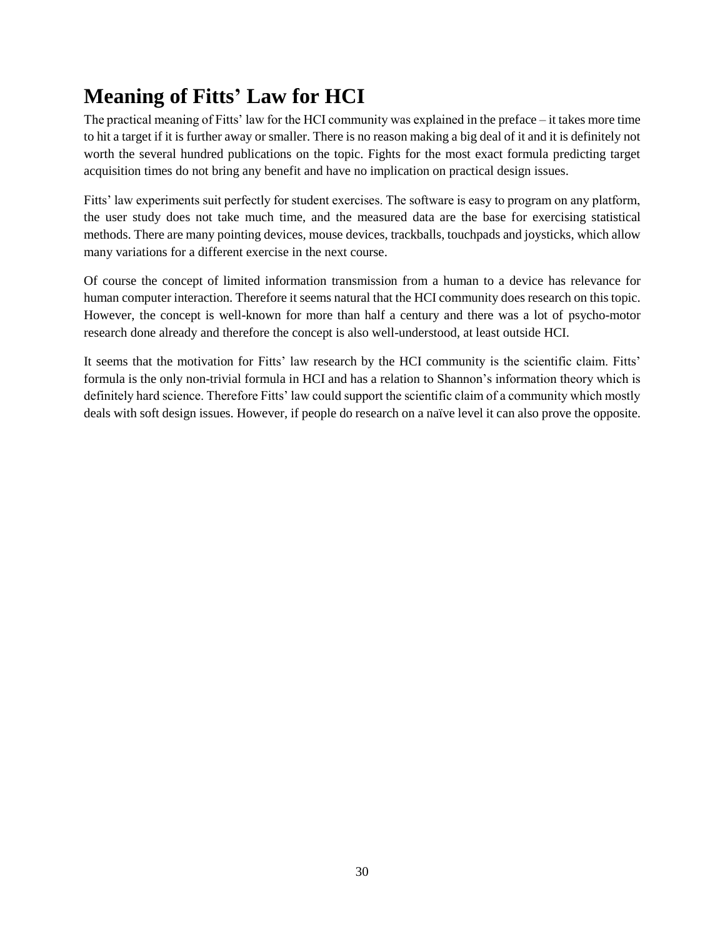# <span id="page-29-0"></span>**Meaning of Fitts' Law for HCI**

The practical meaning of Fitts' law for the HCI community was explained in the preface – it takes more time to hit a target if it is further away or smaller. There is no reason making a big deal of it and it is definitely not worth the several hundred publications on the topic. Fights for the most exact formula predicting target acquisition times do not bring any benefit and have no implication on practical design issues.

Fitts' law experiments suit perfectly for student exercises. The software is easy to program on any platform, the user study does not take much time, and the measured data are the base for exercising statistical methods. There are many pointing devices, mouse devices, trackballs, touchpads and joysticks, which allow many variations for a different exercise in the next course.

Of course the concept of limited information transmission from a human to a device has relevance for human computer interaction. Therefore it seems natural that the HCI community does research on this topic. However, the concept is well-known for more than half a century and there was a lot of psycho-motor research done already and therefore the concept is also well-understood, at least outside HCI.

It seems that the motivation for Fitts' law research by the HCI community is the scientific claim. Fitts' formula is the only non-trivial formula in HCI and has a relation to Shannon's information theory which is definitely hard science. Therefore Fitts' law could support the scientific claim of a community which mostly deals with soft design issues. However, if people do research on a naïve level it can also prove the opposite.